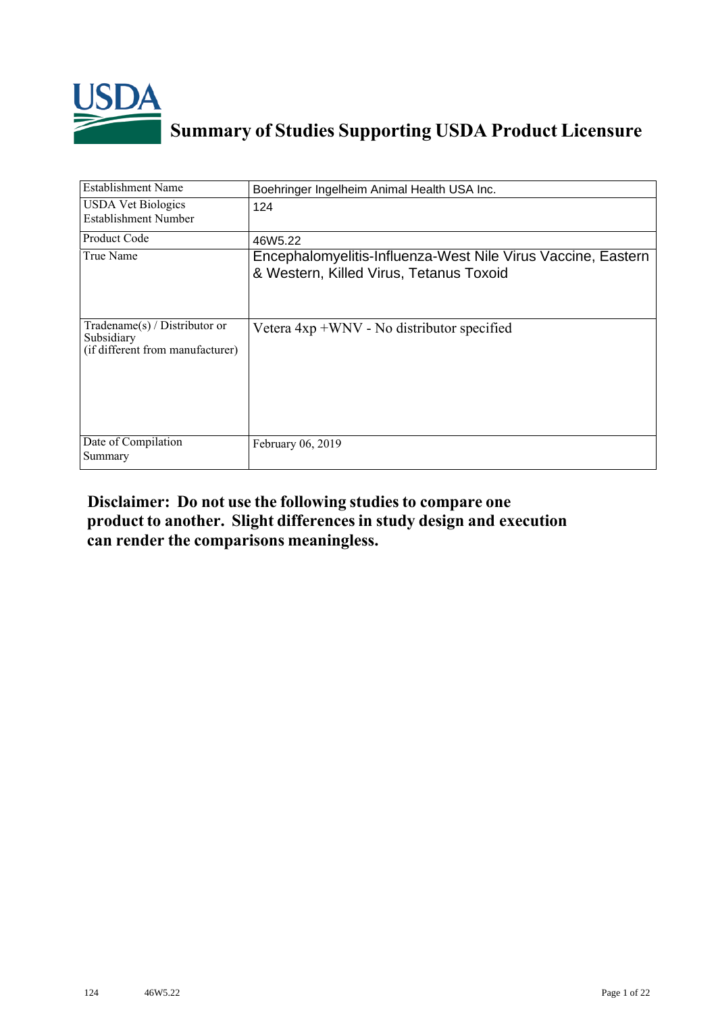

## **Summary of Studies Supporting USDA Product Licensure**

| <b>Establishment Name</b>                                                       | Boehringer Ingelheim Animal Health USA Inc.                                                             |
|---------------------------------------------------------------------------------|---------------------------------------------------------------------------------------------------------|
| <b>USDA Vet Biologics</b><br>Establishment Number                               | 124                                                                                                     |
| Product Code                                                                    | 46W <sub>5.22</sub>                                                                                     |
| True Name                                                                       | Encephalomyelitis-Influenza-West Nile Virus Vaccine, Eastern<br>& Western, Killed Virus, Tetanus Toxoid |
| Tradename(s) / Distributor or<br>Subsidiary<br>(if different from manufacturer) | Vetera 4xp +WNV - No distributor specified                                                              |
| Date of Compilation<br>Summary                                                  | February 06, 2019                                                                                       |

## **Disclaimer: Do not use the following studiesto compare one product to another. Slight differencesin study design and execution can render the comparisons meaningless.**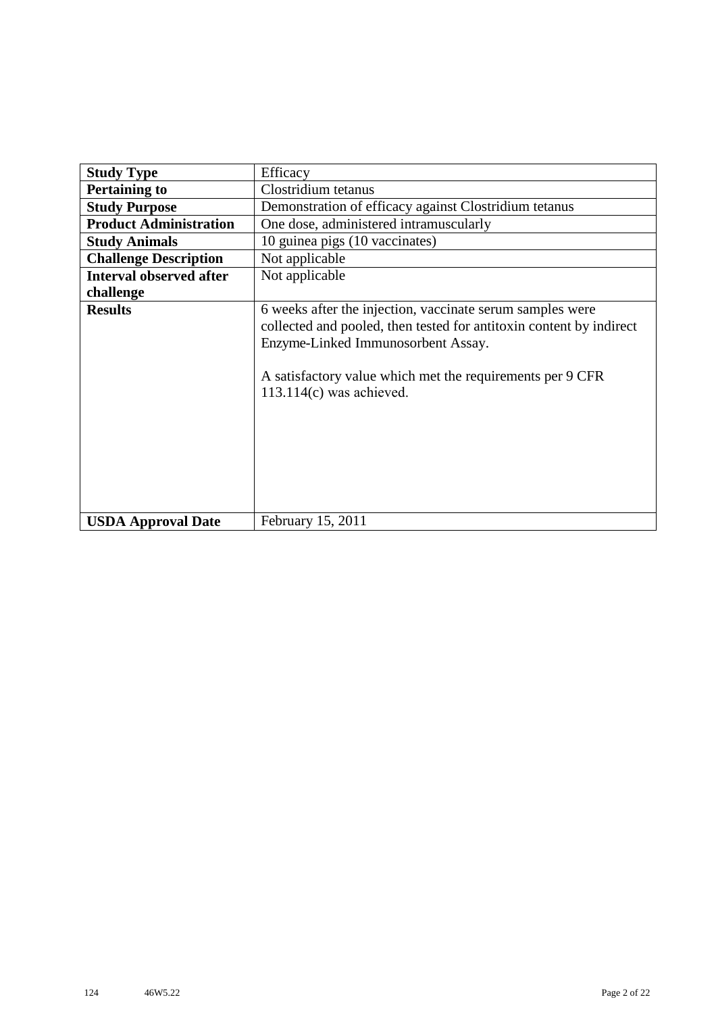| <b>Study Type</b>              | Efficacy                                                                                                                                                                                                                                                          |  |  |  |  |  |  |  |  |
|--------------------------------|-------------------------------------------------------------------------------------------------------------------------------------------------------------------------------------------------------------------------------------------------------------------|--|--|--|--|--|--|--|--|
| <b>Pertaining to</b>           | Clostridium tetanus                                                                                                                                                                                                                                               |  |  |  |  |  |  |  |  |
| <b>Study Purpose</b>           | Demonstration of efficacy against Clostridium tetanus                                                                                                                                                                                                             |  |  |  |  |  |  |  |  |
| <b>Product Administration</b>  | One dose, administered intramuscularly                                                                                                                                                                                                                            |  |  |  |  |  |  |  |  |
| <b>Study Animals</b>           | 10 guinea pigs (10 vaccinates)                                                                                                                                                                                                                                    |  |  |  |  |  |  |  |  |
| <b>Challenge Description</b>   | Not applicable                                                                                                                                                                                                                                                    |  |  |  |  |  |  |  |  |
| <b>Interval observed after</b> | Not applicable                                                                                                                                                                                                                                                    |  |  |  |  |  |  |  |  |
| challenge                      |                                                                                                                                                                                                                                                                   |  |  |  |  |  |  |  |  |
| <b>Results</b>                 | 6 weeks after the injection, vaccinate serum samples were<br>collected and pooled, then tested for antitoxin content by indirect<br>Enzyme-Linked Immunosorbent Assay.<br>A satisfactory value which met the requirements per 9 CFR<br>$113.114(c)$ was achieved. |  |  |  |  |  |  |  |  |
| <b>USDA Approval Date</b>      | February 15, 2011                                                                                                                                                                                                                                                 |  |  |  |  |  |  |  |  |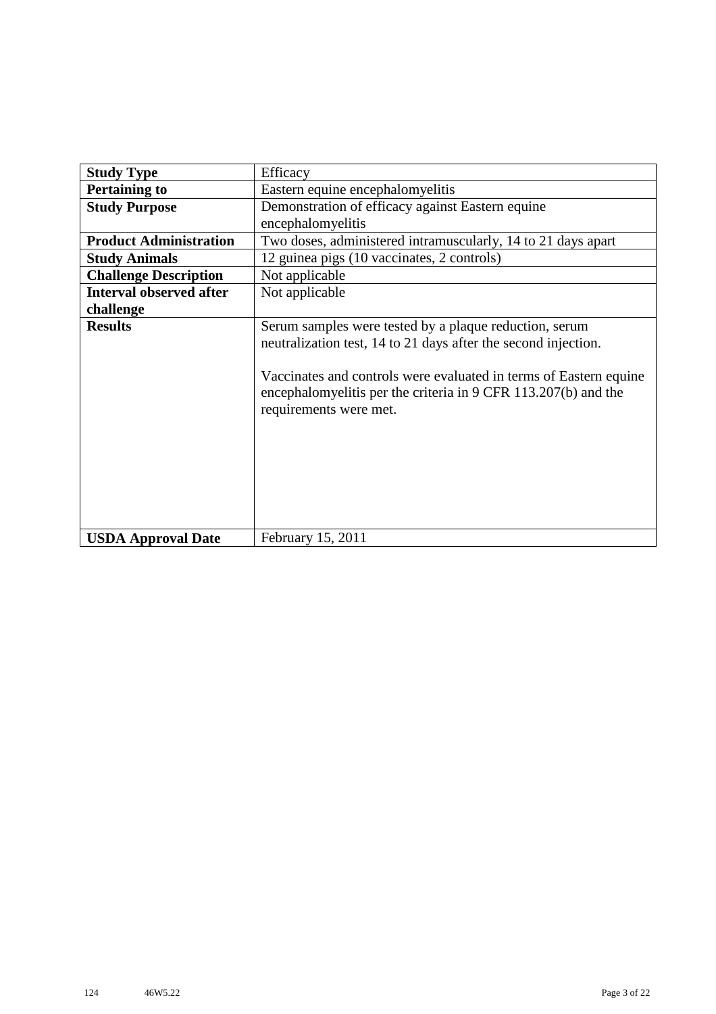| <b>Study Type</b>              | Efficacy                                                                                                                                                                                                                                                                                  |  |  |  |  |  |  |  |  |
|--------------------------------|-------------------------------------------------------------------------------------------------------------------------------------------------------------------------------------------------------------------------------------------------------------------------------------------|--|--|--|--|--|--|--|--|
| <b>Pertaining to</b>           | Eastern equine encephalomyelitis                                                                                                                                                                                                                                                          |  |  |  |  |  |  |  |  |
| <b>Study Purpose</b>           | Demonstration of efficacy against Eastern equine                                                                                                                                                                                                                                          |  |  |  |  |  |  |  |  |
|                                | encephalomyelitis                                                                                                                                                                                                                                                                         |  |  |  |  |  |  |  |  |
| <b>Product Administration</b>  | Two doses, administered intramuscularly, 14 to 21 days apart                                                                                                                                                                                                                              |  |  |  |  |  |  |  |  |
| <b>Study Animals</b>           | 12 guinea pigs (10 vaccinates, 2 controls)                                                                                                                                                                                                                                                |  |  |  |  |  |  |  |  |
| <b>Challenge Description</b>   | Not applicable                                                                                                                                                                                                                                                                            |  |  |  |  |  |  |  |  |
| <b>Interval observed after</b> | Not applicable                                                                                                                                                                                                                                                                            |  |  |  |  |  |  |  |  |
| challenge                      |                                                                                                                                                                                                                                                                                           |  |  |  |  |  |  |  |  |
| <b>Results</b>                 | Serum samples were tested by a plaque reduction, serum<br>neutralization test, 14 to 21 days after the second injection.<br>Vaccinates and controls were evaluated in terms of Eastern equine<br>encephalomyelitis per the criteria in 9 CFR 113.207(b) and the<br>requirements were met. |  |  |  |  |  |  |  |  |
| <b>USDA Approval Date</b>      | February 15, 2011                                                                                                                                                                                                                                                                         |  |  |  |  |  |  |  |  |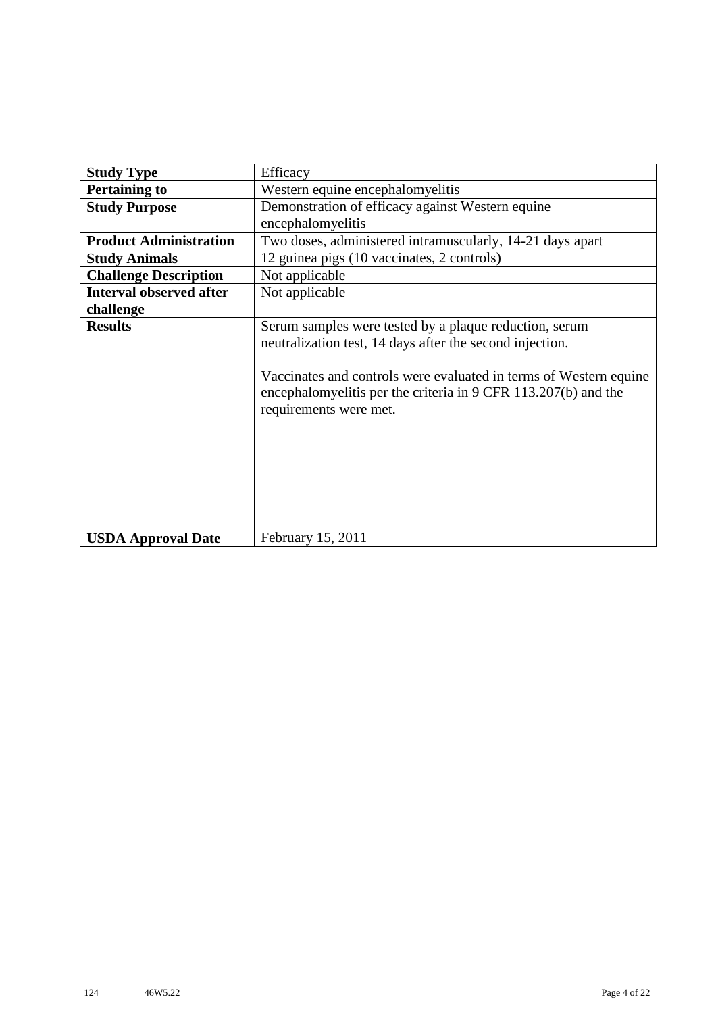| <b>Study Type</b>              | Efficacy                                                                                                                                                                                                                                                                            |
|--------------------------------|-------------------------------------------------------------------------------------------------------------------------------------------------------------------------------------------------------------------------------------------------------------------------------------|
| <b>Pertaining to</b>           | Western equine encephalomyelitis                                                                                                                                                                                                                                                    |
| <b>Study Purpose</b>           | Demonstration of efficacy against Western equine                                                                                                                                                                                                                                    |
|                                | encephalomyelitis                                                                                                                                                                                                                                                                   |
| <b>Product Administration</b>  | Two doses, administered intramuscularly, 14-21 days apart                                                                                                                                                                                                                           |
| <b>Study Animals</b>           | 12 guinea pigs (10 vaccinates, 2 controls)                                                                                                                                                                                                                                          |
| <b>Challenge Description</b>   | Not applicable                                                                                                                                                                                                                                                                      |
| <b>Interval observed after</b> | Not applicable                                                                                                                                                                                                                                                                      |
| challenge                      |                                                                                                                                                                                                                                                                                     |
| <b>Results</b>                 | Serum samples were tested by a plaque reduction, serum<br>neutralization test, 14 days after the second injection.<br>Vaccinates and controls were evaluated in terms of Western equine<br>encephalomyelitis per the criteria in 9 CFR 113.207(b) and the<br>requirements were met. |
| <b>USDA Approval Date</b>      | February 15, 2011                                                                                                                                                                                                                                                                   |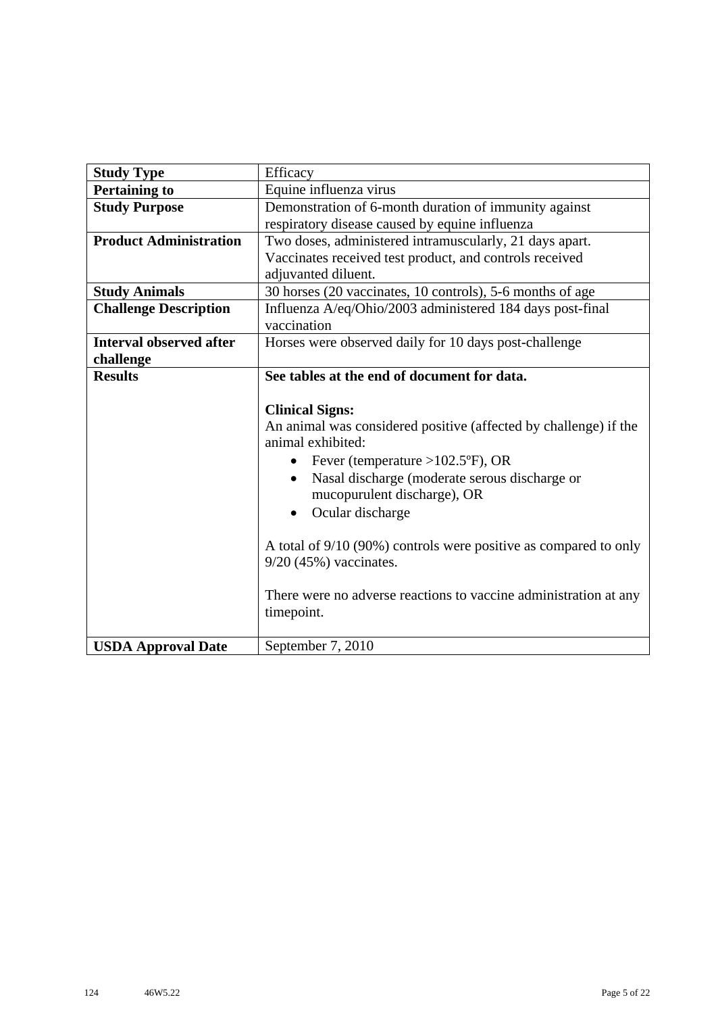| <b>Study Type</b>              | Efficacy                                                         |
|--------------------------------|------------------------------------------------------------------|
| <b>Pertaining to</b>           | Equine influenza virus                                           |
| <b>Study Purpose</b>           | Demonstration of 6-month duration of immunity against            |
|                                | respiratory disease caused by equine influenza                   |
| <b>Product Administration</b>  | Two doses, administered intramuscularly, 21 days apart.          |
|                                | Vaccinates received test product, and controls received          |
|                                | adjuvanted diluent.                                              |
| <b>Study Animals</b>           | 30 horses (20 vaccinates, 10 controls), 5-6 months of age        |
| <b>Challenge Description</b>   | Influenza A/eq/Ohio/2003 administered 184 days post-final        |
|                                | vaccination                                                      |
| <b>Interval observed after</b> | Horses were observed daily for 10 days post-challenge            |
| challenge                      |                                                                  |
| <b>Results</b>                 | See tables at the end of document for data.                      |
|                                |                                                                  |
|                                | <b>Clinical Signs:</b>                                           |
|                                | An animal was considered positive (affected by challenge) if the |
|                                | animal exhibited:                                                |
|                                | Fever (temperature > $102.5$ °F), OR<br>$\bullet$                |
|                                | Nasal discharge (moderate serous discharge or<br>$\bullet$       |
|                                | mucopurulent discharge), OR                                      |
|                                | Ocular discharge<br>$\bullet$                                    |
|                                |                                                                  |
|                                | A total of 9/10 (90%) controls were positive as compared to only |
|                                | $9/20$ (45%) vaccinates.                                         |
|                                |                                                                  |
|                                | There were no adverse reactions to vaccine administration at any |
|                                | timepoint.                                                       |
|                                |                                                                  |
| <b>USDA Approval Date</b>      | September 7, 2010                                                |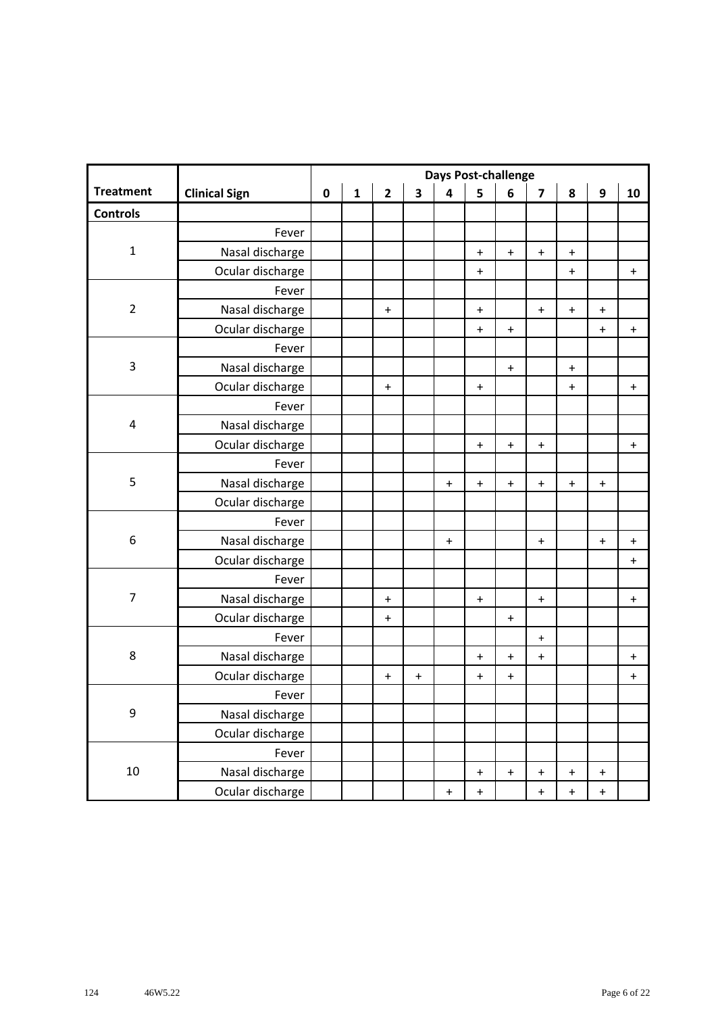|                  |                      |           |              |                |                         |                                  | <b>Days Post-challenge</b>       |                                  |                                  |                                  |                                  |           |
|------------------|----------------------|-----------|--------------|----------------|-------------------------|----------------------------------|----------------------------------|----------------------------------|----------------------------------|----------------------------------|----------------------------------|-----------|
| <b>Treatment</b> | <b>Clinical Sign</b> | $\pmb{0}$ | $\mathbf{1}$ | $\overline{2}$ | $\overline{\mathbf{3}}$ | $\overline{\mathbf{4}}$          | 5                                | 6                                | $\overline{\mathbf{z}}$          | 8                                | $\boldsymbol{9}$                 | 10        |
| <b>Controls</b>  |                      |           |              |                |                         |                                  |                                  |                                  |                                  |                                  |                                  |           |
|                  | Fever                |           |              |                |                         |                                  |                                  |                                  |                                  |                                  |                                  |           |
| $\mathbf 1$      | Nasal discharge      |           |              |                |                         |                                  | $\ddot{}$                        | $\begin{array}{c} + \end{array}$ | $\bf{+}$                         | $\bf +$                          |                                  |           |
|                  | Ocular discharge     |           |              |                |                         |                                  | $\ddot{}$                        |                                  |                                  | $\ddot{}$                        |                                  | $\ddot{}$ |
|                  | Fever                |           |              |                |                         |                                  |                                  |                                  |                                  |                                  |                                  |           |
| $\overline{2}$   | Nasal discharge      |           |              | $\ddot{}$      |                         |                                  | $\ddot{}$                        |                                  | $\mathbf +$                      | $\boldsymbol{+}$                 | $\ddot{}$                        |           |
|                  | Ocular discharge     |           |              |                |                         |                                  | $\ddot{}$                        | $\begin{array}{c} + \end{array}$ |                                  |                                  | $\ddot{}$                        | $\ddot{}$ |
|                  | Fever                |           |              |                |                         |                                  |                                  |                                  |                                  |                                  |                                  |           |
| 3                | Nasal discharge      |           |              |                |                         |                                  |                                  | $\boldsymbol{+}$                 |                                  | $\boldsymbol{+}$                 |                                  |           |
|                  | Ocular discharge     |           |              | $\ddot{}$      |                         |                                  | $\ddot{}$                        |                                  |                                  | $\ddot{}$                        |                                  | $\ddot{}$ |
|                  | Fever                |           |              |                |                         |                                  |                                  |                                  |                                  |                                  |                                  |           |
| 4                | Nasal discharge      |           |              |                |                         |                                  |                                  |                                  |                                  |                                  |                                  |           |
|                  | Ocular discharge     |           |              |                |                         |                                  | $\ddot{}$                        | $\ddot{}$                        | $\ddot{}$                        |                                  |                                  | $\ddag$   |
| 5                | Fever                |           |              |                |                         |                                  |                                  |                                  |                                  |                                  |                                  |           |
|                  | Nasal discharge      |           |              |                |                         | $\ddot{}$                        | $\begin{array}{c} + \end{array}$ | $\begin{array}{c} + \end{array}$ | $\mathbf +$                      | $\ddot{}$                        | $\ddot{}$                        |           |
|                  | Ocular discharge     |           |              |                |                         |                                  |                                  |                                  |                                  |                                  |                                  |           |
|                  | Fever                |           |              |                |                         |                                  |                                  |                                  |                                  |                                  |                                  |           |
| 6                | Nasal discharge      |           |              |                |                         | $\ddot{}$                        |                                  |                                  | $\begin{array}{c} + \end{array}$ |                                  | $\ddot{}$                        | $\ddot{}$ |
|                  | Ocular discharge     |           |              |                |                         |                                  |                                  |                                  |                                  |                                  |                                  | $\ddag$   |
|                  | Fever                |           |              |                |                         |                                  |                                  |                                  |                                  |                                  |                                  |           |
| $\overline{7}$   | Nasal discharge      |           |              | $\ddot{}$      |                         |                                  | $\ddot{}$                        |                                  | $\ddot{}$                        |                                  |                                  | $\ddot{}$ |
|                  | Ocular discharge     |           |              | $\ddot{}$      |                         |                                  |                                  | $\ddot{}$                        |                                  |                                  |                                  |           |
|                  | Fever                |           |              |                |                         |                                  |                                  |                                  | $\pm$                            |                                  |                                  |           |
| $\,8\,$          | Nasal discharge      |           |              |                |                         |                                  | $\ddot{}$                        | $\begin{array}{c} + \end{array}$ | $\ddot{}$                        |                                  |                                  | $\ddot{}$ |
|                  | Ocular discharge     |           |              | $\pmb{+}$      | $\ddot{}$               |                                  | $\ddot{}$                        | $\begin{array}{c} + \end{array}$ |                                  |                                  |                                  | $\ddag$   |
|                  | Fever                |           |              |                |                         |                                  |                                  |                                  |                                  |                                  |                                  |           |
| 9                | Nasal discharge      |           |              |                |                         |                                  |                                  |                                  |                                  |                                  |                                  |           |
|                  | Ocular discharge     |           |              |                |                         |                                  |                                  |                                  |                                  |                                  |                                  |           |
|                  | Fever                |           |              |                |                         |                                  |                                  |                                  |                                  |                                  |                                  |           |
| 10               | Nasal discharge      |           |              |                |                         |                                  | $\begin{array}{c} + \end{array}$ | $\begin{array}{c} + \end{array}$ | $\begin{array}{c} + \end{array}$ | $\pmb{+}$                        | $\ddot{}$                        |           |
|                  | Ocular discharge     |           |              |                |                         | $\begin{array}{c} + \end{array}$ | $\ddot{}$                        |                                  | $\begin{array}{c} + \end{array}$ | $\begin{array}{c} + \end{array}$ | $\begin{array}{c} + \end{array}$ |           |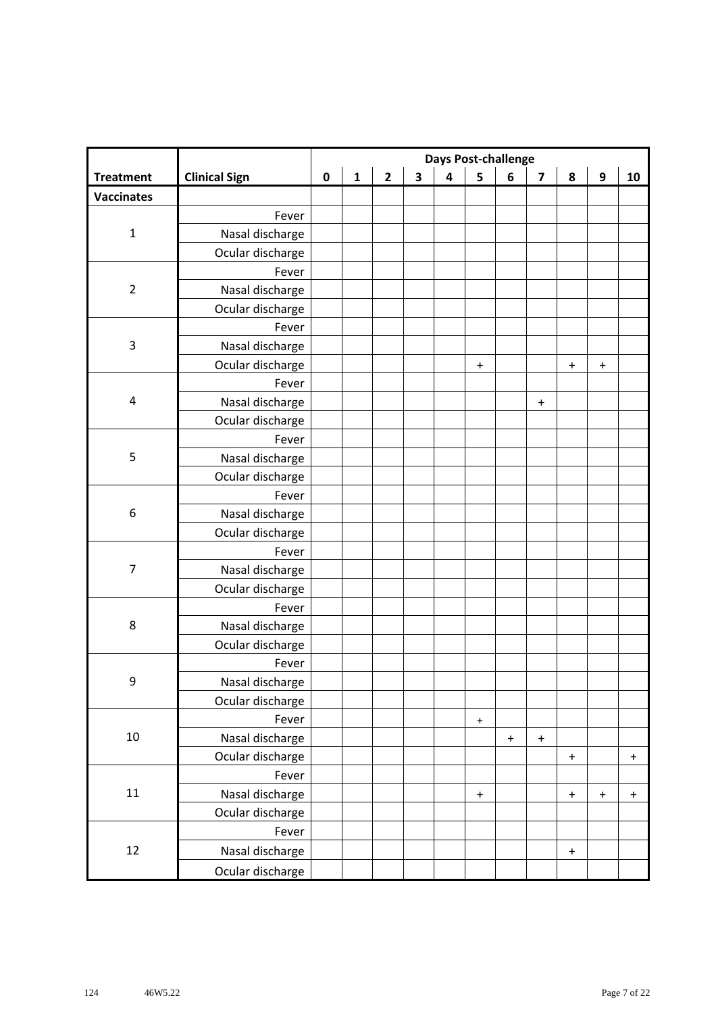|                   |                      |           |              |                |                         |                         | <b>Days Post-challenge</b> |           |                                  |                                  |                                  |             |
|-------------------|----------------------|-----------|--------------|----------------|-------------------------|-------------------------|----------------------------|-----------|----------------------------------|----------------------------------|----------------------------------|-------------|
| <b>Treatment</b>  | <b>Clinical Sign</b> | $\pmb{0}$ | $\mathbf{1}$ | $\overline{2}$ | $\overline{\mathbf{3}}$ | $\overline{\mathbf{4}}$ | 5                          | 6         | $\overline{\mathbf{z}}$          | 8                                | 9                                | 10          |
| <b>Vaccinates</b> |                      |           |              |                |                         |                         |                            |           |                                  |                                  |                                  |             |
|                   | Fever                |           |              |                |                         |                         |                            |           |                                  |                                  |                                  |             |
| $\mathbf 1$       | Nasal discharge      |           |              |                |                         |                         |                            |           |                                  |                                  |                                  |             |
|                   | Ocular discharge     |           |              |                |                         |                         |                            |           |                                  |                                  |                                  |             |
|                   | Fever                |           |              |                |                         |                         |                            |           |                                  |                                  |                                  |             |
| $\overline{2}$    | Nasal discharge      |           |              |                |                         |                         |                            |           |                                  |                                  |                                  |             |
|                   | Ocular discharge     |           |              |                |                         |                         |                            |           |                                  |                                  |                                  |             |
|                   | Fever                |           |              |                |                         |                         |                            |           |                                  |                                  |                                  |             |
| $\mathsf 3$       | Nasal discharge      |           |              |                |                         |                         |                            |           |                                  |                                  |                                  |             |
|                   | Ocular discharge     |           |              |                |                         |                         | $\ddot{}$                  |           |                                  | $\ddot{}$                        | $\ddot{}$                        |             |
|                   | Fever                |           |              |                |                         |                         |                            |           |                                  |                                  |                                  |             |
| 4                 | Nasal discharge      |           |              |                |                         |                         |                            |           | $\begin{array}{c} + \end{array}$ |                                  |                                  |             |
|                   | Ocular discharge     |           |              |                |                         |                         |                            |           |                                  |                                  |                                  |             |
|                   | Fever                |           |              |                |                         |                         |                            |           |                                  |                                  |                                  |             |
| $\mathsf S$       | Nasal discharge      |           |              |                |                         |                         |                            |           |                                  |                                  |                                  |             |
|                   | Ocular discharge     |           |              |                |                         |                         |                            |           |                                  |                                  |                                  |             |
| 6                 | Fever                |           |              |                |                         |                         |                            |           |                                  |                                  |                                  |             |
|                   | Nasal discharge      |           |              |                |                         |                         |                            |           |                                  |                                  |                                  |             |
|                   | Ocular discharge     |           |              |                |                         |                         |                            |           |                                  |                                  |                                  |             |
| $\overline{7}$    | Fever                |           |              |                |                         |                         |                            |           |                                  |                                  |                                  |             |
|                   | Nasal discharge      |           |              |                |                         |                         |                            |           |                                  |                                  |                                  |             |
|                   | Ocular discharge     |           |              |                |                         |                         |                            |           |                                  |                                  |                                  |             |
|                   | Fever                |           |              |                |                         |                         |                            |           |                                  |                                  |                                  |             |
| $\,8\,$           | Nasal discharge      |           |              |                |                         |                         |                            |           |                                  |                                  |                                  |             |
|                   | Ocular discharge     |           |              |                |                         |                         |                            |           |                                  |                                  |                                  |             |
|                   | Fever                |           |              |                |                         |                         |                            |           |                                  |                                  |                                  |             |
| 9                 | Nasal discharge      |           |              |                |                         |                         |                            |           |                                  |                                  |                                  |             |
|                   | Ocular discharge     |           |              |                |                         |                         |                            |           |                                  |                                  |                                  |             |
|                   | Fever                |           |              |                |                         |                         | $\boldsymbol{+}$           |           |                                  |                                  |                                  |             |
| 10                | Nasal discharge      |           |              |                |                         |                         |                            | $\ddot{}$ | $\mathbf +$                      |                                  |                                  |             |
|                   | Ocular discharge     |           |              |                |                         |                         |                            |           |                                  | $\ddot{}$                        |                                  | $\mathbf +$ |
|                   | Fever                |           |              |                |                         |                         |                            |           |                                  |                                  |                                  |             |
| $11\,$            | Nasal discharge      |           |              |                |                         |                         | $\ddot{}$                  |           |                                  | $\begin{array}{c} + \end{array}$ | $\begin{array}{c} + \end{array}$ | $\ddot{}$   |
|                   | Ocular discharge     |           |              |                |                         |                         |                            |           |                                  |                                  |                                  |             |
|                   | Fever                |           |              |                |                         |                         |                            |           |                                  |                                  |                                  |             |
| 12                | Nasal discharge      |           |              |                |                         |                         |                            |           |                                  | $\ddot{}$                        |                                  |             |
|                   | Ocular discharge     |           |              |                |                         |                         |                            |           |                                  |                                  |                                  |             |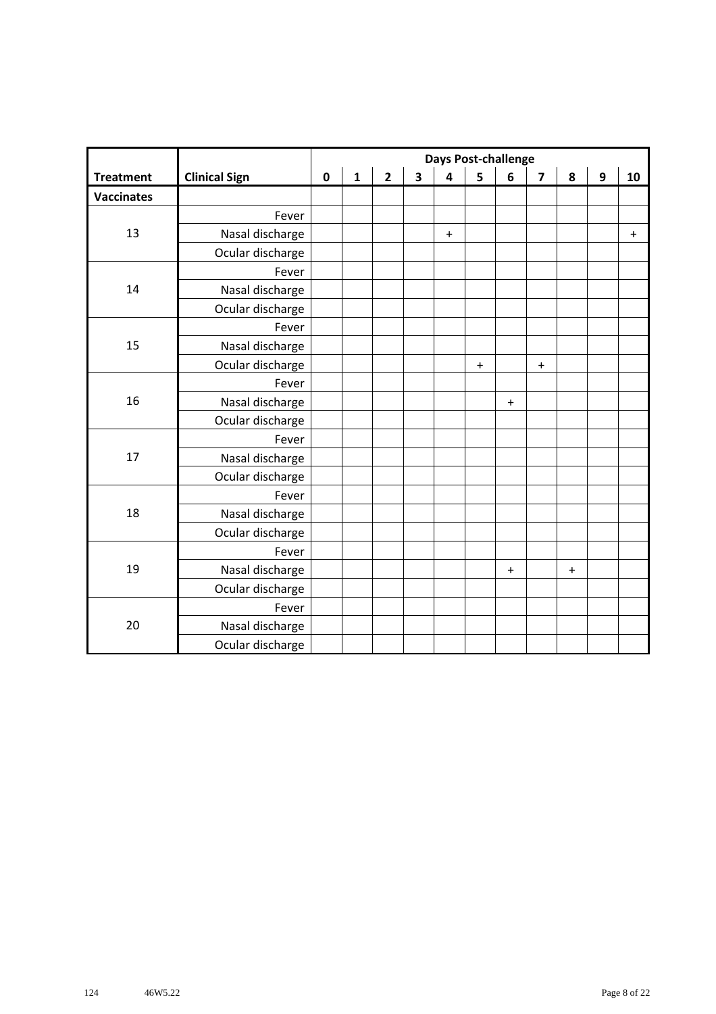|                   |                      |             |              |                         |                         | <b>Days Post-challenge</b> |           |                                  |                                  |                                  |                  |           |
|-------------------|----------------------|-------------|--------------|-------------------------|-------------------------|----------------------------|-----------|----------------------------------|----------------------------------|----------------------------------|------------------|-----------|
| <b>Treatment</b>  | <b>Clinical Sign</b> | $\mathbf 0$ | $\mathbf{1}$ | $\overline{\mathbf{2}}$ | $\overline{\mathbf{3}}$ | $\overline{\mathbf{4}}$    | 5         | 6                                | $\overline{\mathbf{z}}$          | 8                                | $\boldsymbol{9}$ | 10        |
| <b>Vaccinates</b> |                      |             |              |                         |                         |                            |           |                                  |                                  |                                  |                  |           |
|                   | Fever                |             |              |                         |                         |                            |           |                                  |                                  |                                  |                  |           |
| 13                | Nasal discharge      |             |              |                         |                         | $\ddot{}$                  |           |                                  |                                  |                                  |                  | $\ddot{}$ |
|                   | Ocular discharge     |             |              |                         |                         |                            |           |                                  |                                  |                                  |                  |           |
|                   | Fever                |             |              |                         |                         |                            |           |                                  |                                  |                                  |                  |           |
| 14                | Nasal discharge      |             |              |                         |                         |                            |           |                                  |                                  |                                  |                  |           |
|                   | Ocular discharge     |             |              |                         |                         |                            |           |                                  |                                  |                                  |                  |           |
|                   | Fever                |             |              |                         |                         |                            |           |                                  |                                  |                                  |                  |           |
| 15                | Nasal discharge      |             |              |                         |                         |                            |           |                                  |                                  |                                  |                  |           |
|                   | Ocular discharge     |             |              |                         |                         |                            | $\ddot{}$ |                                  | $\begin{array}{c} + \end{array}$ |                                  |                  |           |
|                   | Fever                |             |              |                         |                         |                            |           |                                  |                                  |                                  |                  |           |
| 16                | Nasal discharge      |             |              |                         |                         |                            |           | $\ddot{}$                        |                                  |                                  |                  |           |
|                   | Ocular discharge     |             |              |                         |                         |                            |           |                                  |                                  |                                  |                  |           |
|                   | Fever                |             |              |                         |                         |                            |           |                                  |                                  |                                  |                  |           |
| 17                | Nasal discharge      |             |              |                         |                         |                            |           |                                  |                                  |                                  |                  |           |
|                   | Ocular discharge     |             |              |                         |                         |                            |           |                                  |                                  |                                  |                  |           |
|                   | Fever                |             |              |                         |                         |                            |           |                                  |                                  |                                  |                  |           |
| 18                | Nasal discharge      |             |              |                         |                         |                            |           |                                  |                                  |                                  |                  |           |
|                   | Ocular discharge     |             |              |                         |                         |                            |           |                                  |                                  |                                  |                  |           |
|                   | Fever                |             |              |                         |                         |                            |           |                                  |                                  |                                  |                  |           |
| 19                | Nasal discharge      |             |              |                         |                         |                            |           | $\begin{array}{c} + \end{array}$ |                                  | $\begin{array}{c} + \end{array}$ |                  |           |
|                   | Ocular discharge     |             |              |                         |                         |                            |           |                                  |                                  |                                  |                  |           |
|                   | Fever                |             |              |                         |                         |                            |           |                                  |                                  |                                  |                  |           |
| 20                | Nasal discharge      |             |              |                         |                         |                            |           |                                  |                                  |                                  |                  |           |
|                   | Ocular discharge     |             |              |                         |                         |                            |           |                                  |                                  |                                  |                  |           |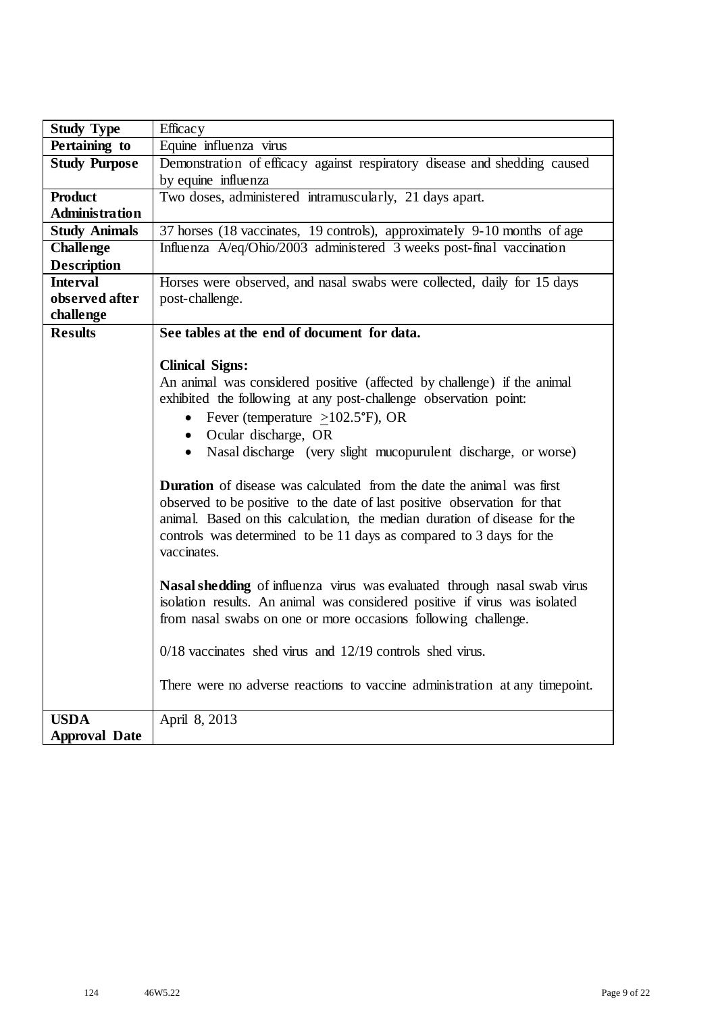| <b>Study Type</b>     | Efficacy                                                                     |
|-----------------------|------------------------------------------------------------------------------|
| Pertaining to         | Equine influenza virus                                                       |
| <b>Study Purpose</b>  | Demonstration of efficacy against respiratory disease and shedding caused    |
|                       | by equine influenza                                                          |
| <b>Product</b>        | Two doses, administered intramuscularly, 21 days apart.                      |
| <b>Administration</b> |                                                                              |
| <b>Study Animals</b>  | 37 horses (18 vaccinates, 19 controls), approximately 9-10 months of age     |
| <b>Challenge</b>      | Influenza A/eq/Ohio/2003 administered 3 weeks post-final vaccination         |
| <b>Description</b>    |                                                                              |
| <b>Interval</b>       | Horses were observed, and nasal swabs were collected, daily for 15 days      |
| observed after        | post-challenge.                                                              |
| challenge             |                                                                              |
| <b>Results</b>        | See tables at the end of document for data.                                  |
|                       |                                                                              |
|                       | <b>Clinical Signs:</b>                                                       |
|                       | An animal was considered positive (affected by challenge) if the animal      |
|                       | exhibited the following at any post-challenge observation point:             |
|                       | • Fever (temperature $\geq$ 102.5°F), OR                                     |
|                       | • Ocular discharge, OR                                                       |
|                       | • Nasal discharge (very slight mucopurulent discharge, or worse)             |
|                       | <b>Duration</b> of disease was calculated from the date the animal was first |
|                       | observed to be positive to the date of last positive observation for that    |
|                       | animal. Based on this calculation, the median duration of disease for the    |
|                       | controls was determined to be 11 days as compared to 3 days for the          |
|                       | vaccinates.                                                                  |
|                       |                                                                              |
|                       | Nasal shedding of influenza virus was evaluated through nasal swab virus     |
|                       | isolation results. An animal was considered positive if virus was isolated   |
|                       | from nasal swabs on one or more occasions following challenge.               |
|                       |                                                                              |
|                       | $0/18$ vaccinates shed virus and $12/19$ controls shed virus.                |
|                       |                                                                              |
|                       | There were no adverse reactions to vaccine administration at any timepoint.  |
| <b>USDA</b>           | April 8, 2013                                                                |
| <b>Approval Date</b>  |                                                                              |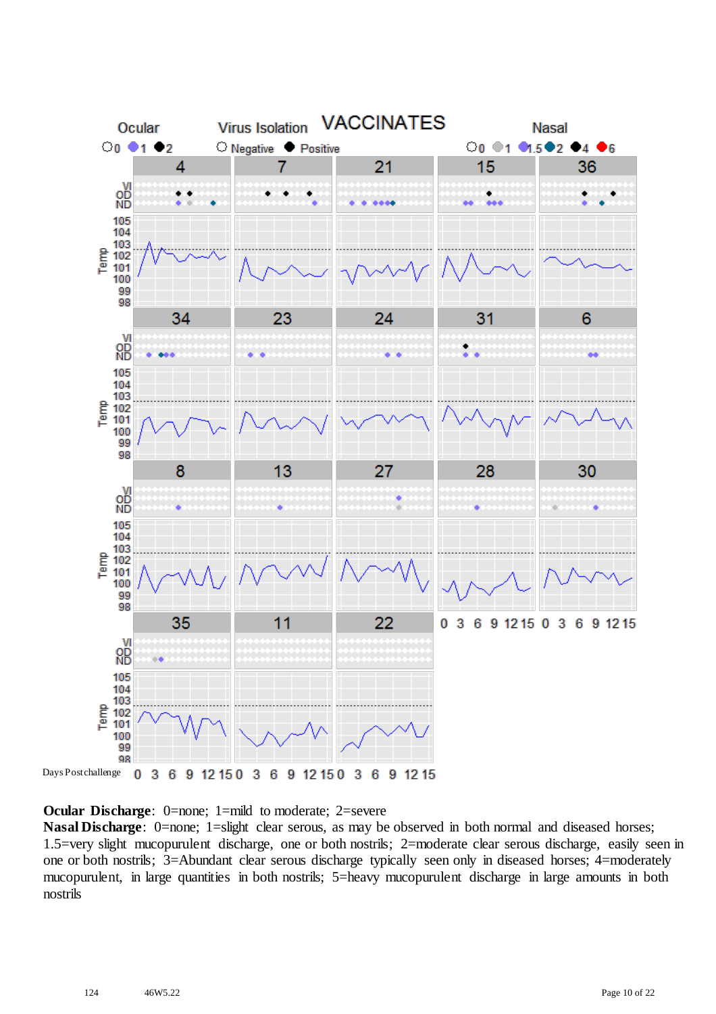

**Ocular Discharge:** 0=none; 1=mild to moderate; 2=severe

**Nasal Discharge**: 0=none; 1=slight clear serous, as may be observed in both normal and diseased horses; 1.5=very slight mucopurulent discharge, one or both nostrils; 2=moderate clear serous discharge, easily seen in one or both nostrils; 3=Abundant clear serous discharge typically seen only in diseased horses; 4=moderately mucopurulent, in large quantities in both nostrils; 5=heavy mucopurulent discharge in large amounts in both nostrils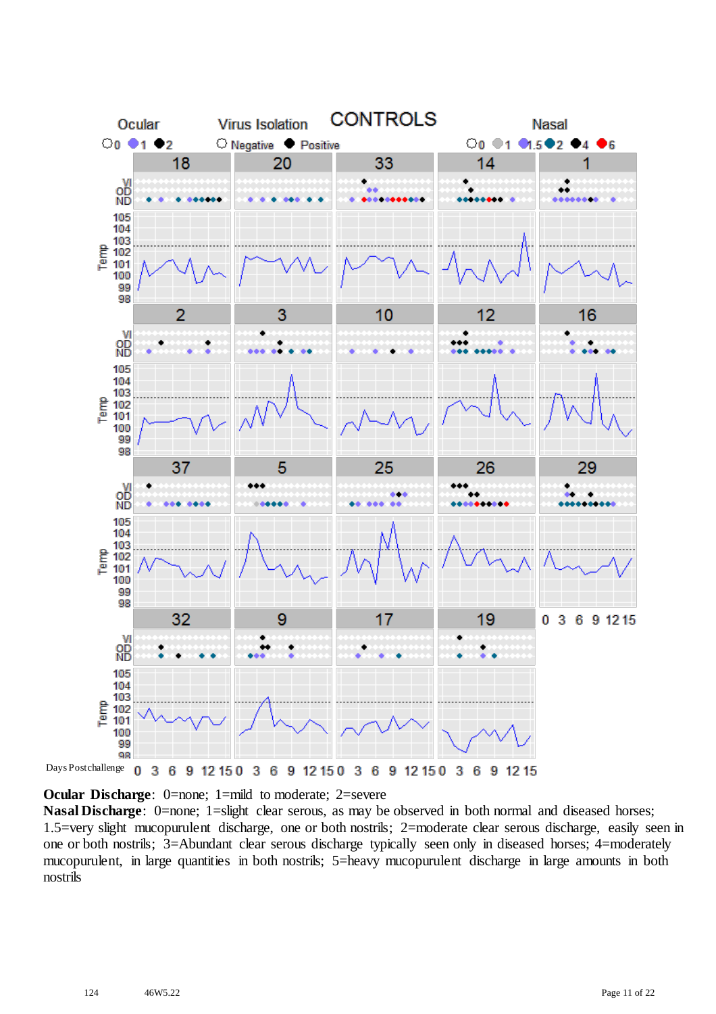

**Ocular Discharge:** 0=none; 1=mild to moderate; 2=severe

**Nasal Discharge**: 0=none; 1=slight clear serous, as may be observed in both normal and diseased horses; 1.5=very slight mucopurulent discharge, one or both nostrils; 2=moderate clear serous discharge, easily seen in one or both nostrils; 3=Abundant clear serous discharge typically seen only in diseased horses; 4=moderately mucopurulent, in large quantities in both nostrils; 5=heavy mucopurulent discharge in large amounts in both nostrils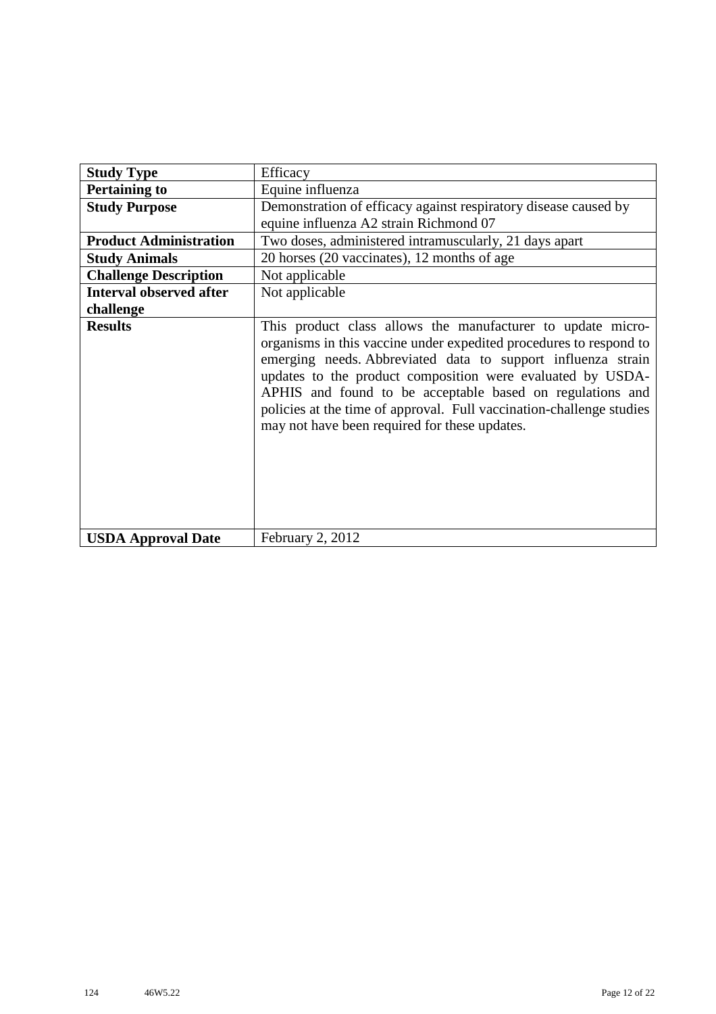| <b>Study Type</b>              | Efficacy                                                                                                                                                                                                                                                                                                                                                                                                                                              |
|--------------------------------|-------------------------------------------------------------------------------------------------------------------------------------------------------------------------------------------------------------------------------------------------------------------------------------------------------------------------------------------------------------------------------------------------------------------------------------------------------|
| <b>Pertaining to</b>           | Equine influenza                                                                                                                                                                                                                                                                                                                                                                                                                                      |
| <b>Study Purpose</b>           | Demonstration of efficacy against respiratory disease caused by<br>equine influenza A2 strain Richmond 07                                                                                                                                                                                                                                                                                                                                             |
| <b>Product Administration</b>  | Two doses, administered intramuscularly, 21 days apart                                                                                                                                                                                                                                                                                                                                                                                                |
| <b>Study Animals</b>           | 20 horses (20 vaccinates), 12 months of age                                                                                                                                                                                                                                                                                                                                                                                                           |
| <b>Challenge Description</b>   | Not applicable                                                                                                                                                                                                                                                                                                                                                                                                                                        |
| <b>Interval observed after</b> | Not applicable                                                                                                                                                                                                                                                                                                                                                                                                                                        |
| challenge                      |                                                                                                                                                                                                                                                                                                                                                                                                                                                       |
| <b>Results</b>                 | This product class allows the manufacturer to update micro-<br>organisms in this vaccine under expedited procedures to respond to<br>emerging needs. Abbreviated data to support influenza strain<br>updates to the product composition were evaluated by USDA-<br>APHIS and found to be acceptable based on regulations and<br>policies at the time of approval. Full vaccination-challenge studies<br>may not have been required for these updates. |
| <b>USDA Approval Date</b>      | February 2, 2012                                                                                                                                                                                                                                                                                                                                                                                                                                      |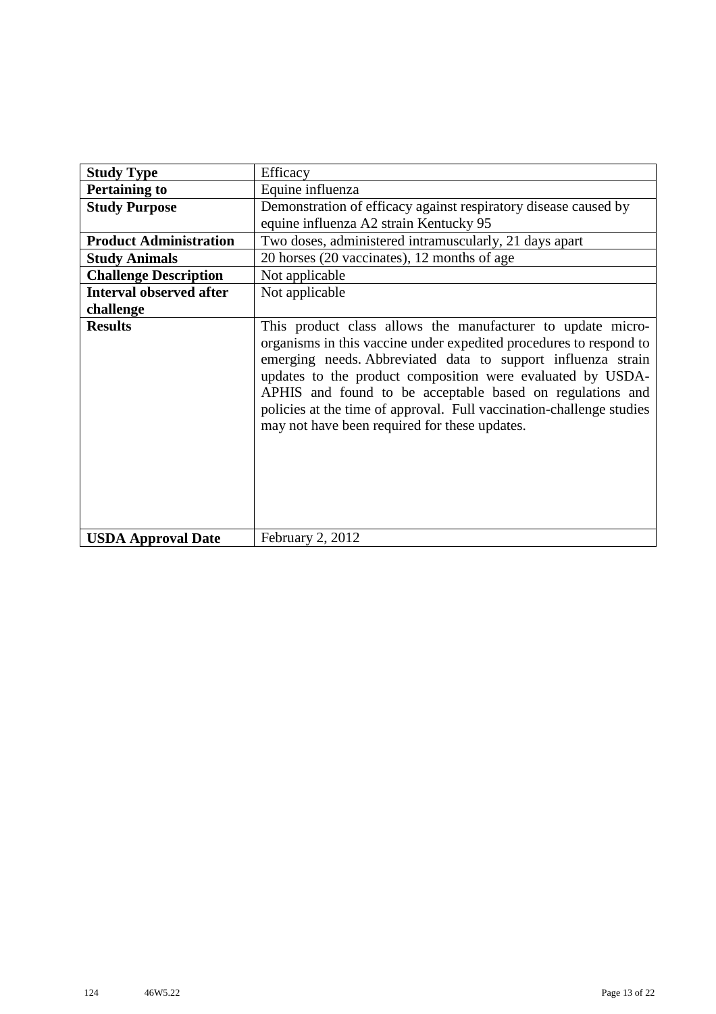| <b>Study Type</b>              | Efficacy                                                                                                                                                                                                                                                                                                                                                                                                                                              |
|--------------------------------|-------------------------------------------------------------------------------------------------------------------------------------------------------------------------------------------------------------------------------------------------------------------------------------------------------------------------------------------------------------------------------------------------------------------------------------------------------|
| <b>Pertaining to</b>           | Equine influenza                                                                                                                                                                                                                                                                                                                                                                                                                                      |
| <b>Study Purpose</b>           | Demonstration of efficacy against respiratory disease caused by<br>equine influenza A2 strain Kentucky 95                                                                                                                                                                                                                                                                                                                                             |
| <b>Product Administration</b>  | Two doses, administered intramuscularly, 21 days apart                                                                                                                                                                                                                                                                                                                                                                                                |
| <b>Study Animals</b>           | 20 horses (20 vaccinates), 12 months of age                                                                                                                                                                                                                                                                                                                                                                                                           |
| <b>Challenge Description</b>   | Not applicable                                                                                                                                                                                                                                                                                                                                                                                                                                        |
| <b>Interval observed after</b> | Not applicable                                                                                                                                                                                                                                                                                                                                                                                                                                        |
| challenge                      |                                                                                                                                                                                                                                                                                                                                                                                                                                                       |
| <b>Results</b>                 | This product class allows the manufacturer to update micro-<br>organisms in this vaccine under expedited procedures to respond to<br>emerging needs. Abbreviated data to support influenza strain<br>updates to the product composition were evaluated by USDA-<br>APHIS and found to be acceptable based on regulations and<br>policies at the time of approval. Full vaccination-challenge studies<br>may not have been required for these updates. |
| <b>USDA Approval Date</b>      | February 2, 2012                                                                                                                                                                                                                                                                                                                                                                                                                                      |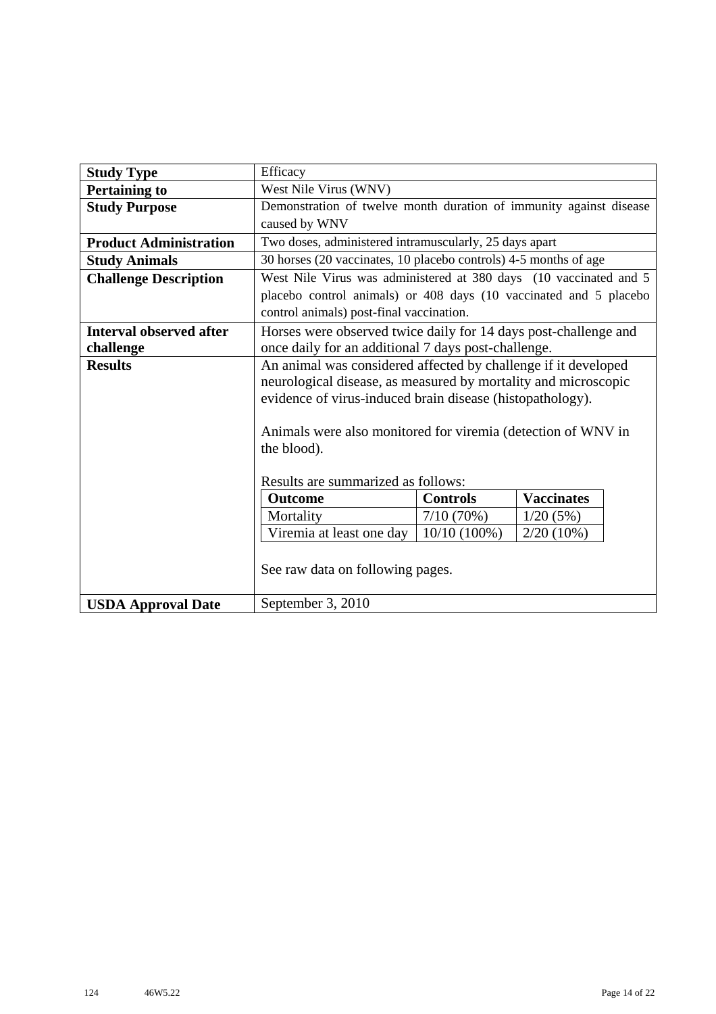| <b>Study Type</b>              | Efficacy                                                           |                 |                   |  |  |  |  |  |  |  |  |
|--------------------------------|--------------------------------------------------------------------|-----------------|-------------------|--|--|--|--|--|--|--|--|
| <b>Pertaining to</b>           | West Nile Virus (WNV)                                              |                 |                   |  |  |  |  |  |  |  |  |
| <b>Study Purpose</b>           | Demonstration of twelve month duration of immunity against disease |                 |                   |  |  |  |  |  |  |  |  |
|                                | caused by WNV                                                      |                 |                   |  |  |  |  |  |  |  |  |
| <b>Product Administration</b>  | Two doses, administered intramuscularly, 25 days apart             |                 |                   |  |  |  |  |  |  |  |  |
| <b>Study Animals</b>           | 30 horses (20 vaccinates, 10 placebo controls) 4-5 months of age   |                 |                   |  |  |  |  |  |  |  |  |
| <b>Challenge Description</b>   | West Nile Virus was administered at 380 days (10 vaccinated and 5  |                 |                   |  |  |  |  |  |  |  |  |
|                                | placebo control animals) or 408 days (10 vaccinated and 5 placebo  |                 |                   |  |  |  |  |  |  |  |  |
|                                | control animals) post-final vaccination.                           |                 |                   |  |  |  |  |  |  |  |  |
| <b>Interval observed after</b> | Horses were observed twice daily for 14 days post-challenge and    |                 |                   |  |  |  |  |  |  |  |  |
| challenge                      | once daily for an additional 7 days post-challenge.                |                 |                   |  |  |  |  |  |  |  |  |
| <b>Results</b>                 | An animal was considered affected by challenge if it developed     |                 |                   |  |  |  |  |  |  |  |  |
|                                | neurological disease, as measured by mortality and microscopic     |                 |                   |  |  |  |  |  |  |  |  |
|                                | evidence of virus-induced brain disease (histopathology).          |                 |                   |  |  |  |  |  |  |  |  |
|                                |                                                                    |                 |                   |  |  |  |  |  |  |  |  |
|                                | Animals were also monitored for viremia (detection of WNV in       |                 |                   |  |  |  |  |  |  |  |  |
|                                | the blood).                                                        |                 |                   |  |  |  |  |  |  |  |  |
|                                |                                                                    |                 |                   |  |  |  |  |  |  |  |  |
|                                | Results are summarized as follows:                                 |                 |                   |  |  |  |  |  |  |  |  |
|                                | <b>Outcome</b>                                                     | <b>Controls</b> | <b>Vaccinates</b> |  |  |  |  |  |  |  |  |
|                                | Mortality                                                          | 7/10(70%)       | 1/20(5%)          |  |  |  |  |  |  |  |  |
|                                | Viremia at least one day<br>$10/10(100\%)$<br>$2/20(10\%)$         |                 |                   |  |  |  |  |  |  |  |  |
|                                |                                                                    |                 |                   |  |  |  |  |  |  |  |  |
|                                | See raw data on following pages.                                   |                 |                   |  |  |  |  |  |  |  |  |
|                                |                                                                    |                 |                   |  |  |  |  |  |  |  |  |
| <b>USDA Approval Date</b>      | September 3, 2010                                                  |                 |                   |  |  |  |  |  |  |  |  |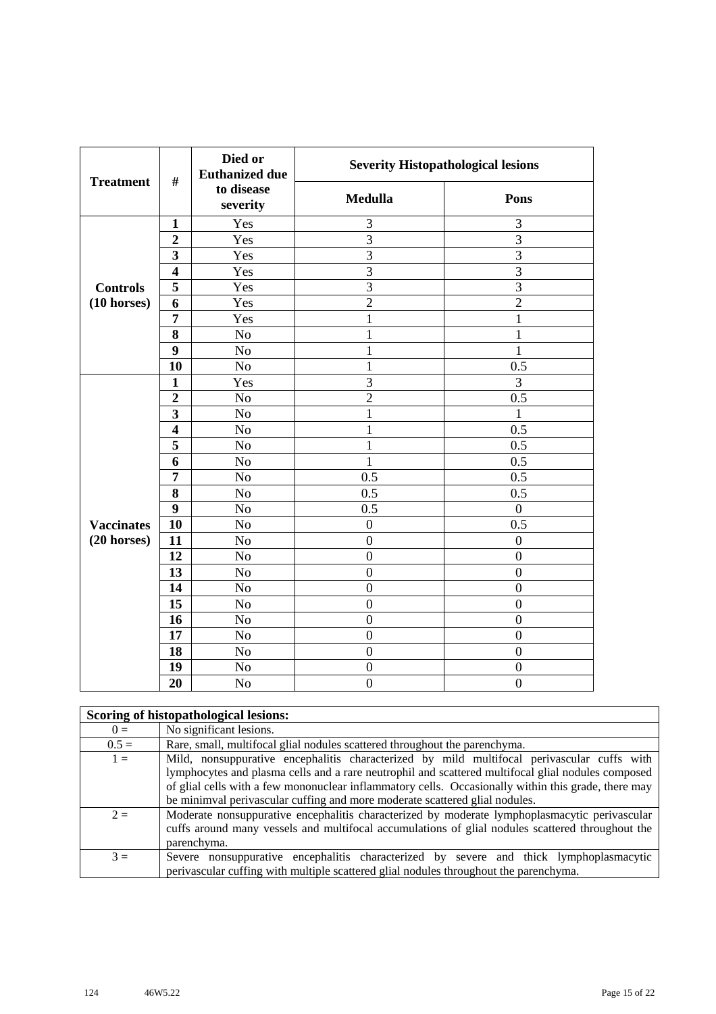| <b>Treatment</b>      | $\#$                    | Died or<br><b>Euthanized due</b> | <b>Severity Histopathological lesions</b> |                  |
|-----------------------|-------------------------|----------------------------------|-------------------------------------------|------------------|
|                       |                         | to disease<br>severity           | <b>Medulla</b>                            | Pons             |
|                       | $\mathbf{1}$            | Yes                              | 3                                         | 3                |
|                       | $\overline{2}$          | Yes                              | $\overline{3}$                            | 3                |
|                       | 3                       | Yes                              | $\overline{3}$                            | $\overline{3}$   |
|                       | $\overline{\mathbf{4}}$ | Yes                              | $\overline{3}$                            | 3                |
| <b>Controls</b>       | 5                       | Yes                              | 3                                         | $\overline{3}$   |
| $(10 \text{ horses})$ | 6                       | Yes                              | $\overline{2}$                            | $\overline{2}$   |
|                       | $\overline{7}$          | Yes                              | $\mathbf{1}$                              | $\mathbf{1}$     |
|                       | 8                       | No                               | $\mathbf{1}$                              | $\mathbf 1$      |
|                       | 9                       | No                               | $\mathbf{1}$                              | $\mathbf{1}$     |
|                       | 10                      | No                               | $\mathbf{1}$                              | 0.5              |
|                       | $\mathbf{1}$            | Yes                              | $\overline{3}$                            | 3                |
|                       | $\overline{2}$          | No                               | $\overline{2}$                            | 0.5              |
|                       | 3                       | No                               | $\mathbf{1}$                              | 1                |
|                       | $\overline{\mathbf{4}}$ | No                               | $\mathbf{1}$                              | 0.5              |
|                       | 5                       | No                               | $\mathbf{1}$                              | 0.5              |
|                       | 6                       | N <sub>o</sub>                   | $\mathbf{1}$                              | 0.5              |
|                       | 7                       | No                               | 0.5                                       | 0.5              |
|                       | 8                       | No                               | 0.5                                       | 0.5              |
|                       | 9                       | N <sub>o</sub>                   | 0.5                                       | $\boldsymbol{0}$ |
| <b>Vaccinates</b>     | 10                      | No                               | $\boldsymbol{0}$                          | $\overline{0.5}$ |
| $(20$ horses)         | 11                      | N <sub>o</sub>                   | $\overline{0}$                            | $\boldsymbol{0}$ |
|                       | 12                      | N <sub>o</sub>                   | $\boldsymbol{0}$                          | $\boldsymbol{0}$ |
|                       | 13                      | No                               | $\overline{0}$                            | $\boldsymbol{0}$ |
|                       | 14                      | N <sub>o</sub>                   | $\overline{0}$                            | $\overline{0}$   |
|                       | 15                      | No                               | $\overline{0}$                            | $\overline{0}$   |
|                       | 16                      | No                               | $\boldsymbol{0}$                          | $\boldsymbol{0}$ |
|                       | 17                      | No                               | $\overline{0}$                            | $\overline{0}$   |
|                       | 18                      | No                               | $\boldsymbol{0}$                          | $\boldsymbol{0}$ |
|                       | 19                      | No                               | $\boldsymbol{0}$                          | $\boldsymbol{0}$ |
|                       | 20                      | N <sub>o</sub>                   | $\overline{0}$                            | $\overline{0}$   |

|         | Scoring of histopathological lesions:                                                                                                                                                                                                                                                                                                                                                  |
|---------|----------------------------------------------------------------------------------------------------------------------------------------------------------------------------------------------------------------------------------------------------------------------------------------------------------------------------------------------------------------------------------------|
| $0 =$   | No significant lesions.                                                                                                                                                                                                                                                                                                                                                                |
| $0.5 =$ | Rare, small, multifocal glial nodules scattered throughout the parenchyma.                                                                                                                                                                                                                                                                                                             |
| $1 =$   | Mild, nonsuppurative encephalitis characterized by mild multifocal perivascular cuffs with<br>lymphocytes and plasma cells and a rare neutrophil and scattered multifocal glial nodules composed<br>of glial cells with a few mononuclear inflammatory cells. Occasionally within this grade, there may<br>be minimval perivascular cuffing and more moderate scattered glial nodules. |
| $2 =$   | Moderate nonsuppurative encephalitis characterized by moderate lymphoplasmacytic perivascular<br>cuffs around many vessels and multifocal accumulations of glial nodules scattered throughout the<br>parenchyma.                                                                                                                                                                       |
| $3 =$   | Severe nonsuppurative encephalitis characterized by severe and thick lymphoplasmacytic<br>perivalent parameters with multiple scattered glial nodules throughout the parenchyma.                                                                                                                                                                                                       |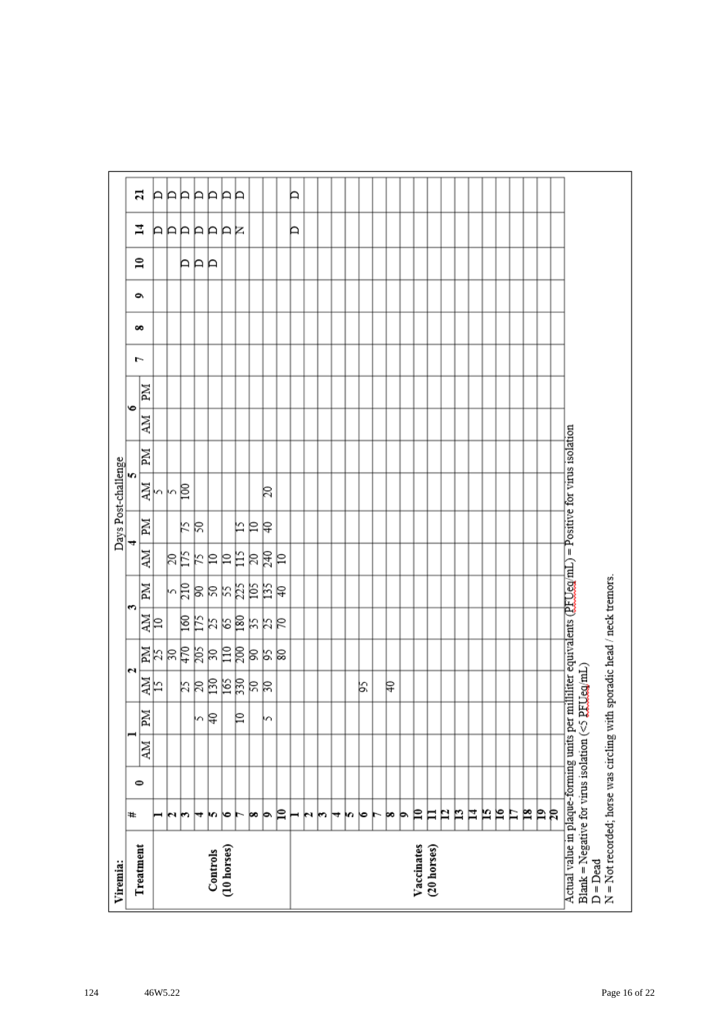| Viremia:                                                                                                                                                                           |    |           |    |    |         |            |      |       |    |    | Days Post-challenge |    |           |    |   |   |   |              |         |    |
|------------------------------------------------------------------------------------------------------------------------------------------------------------------------------------|----|-----------|----|----|---------|------------|------|-------|----|----|---------------------|----|-----------|----|---|---|---|--------------|---------|----|
| Treatment                                                                                                                                                                          | ₩  | $\bullet$ |    |    |         | N          | S    |       |    |    | m                   |    | $\bullet$ |    | ŀ | ő | é | $\mathbf{r}$ | 4       | ដ  |
|                                                                                                                                                                                    |    |           | NИ | Md | 하       |            | 화    | Md    | ÄМ | MI | 하                   | ZМ | NИ        | Иď |   |   |   |              |         |    |
|                                                                                                                                                                                    | ⊣  |           |    |    |         |            |      |       |    |    |                     |    |           |    |   |   |   |              |         | A  |
|                                                                                                                                                                                    | юı |           |    |    |         |            |      |       | βĘ |    | kβ                  |    |           |    |   |   |   |              |         | ÞÞ |
|                                                                                                                                                                                    | m  |           |    |    |         |            |      |       |    | k  |                     |    |           |    |   |   |   | ÞР           |         |    |
|                                                                                                                                                                                    | ₩  |           |    | m  |         |            |      |       | K  | R  |                     |    |           |    |   |   |   |              |         | Þ  |
| Controls                                                                                                                                                                           | m  |           |    | β  | 부치려의덕려석 | 11 리치영국체여동 | 회예검질 | 여여처처터 | 의의 |    |                     |    |           |    |   |   |   | Þ            | AAAAAAR | Þ  |
| (10 horses)                                                                                                                                                                        | ∣७ |           |    |    |         |            |      |       |    |    |                     |    |           |    |   |   |   |              |         | P  |
|                                                                                                                                                                                    |    |           |    | ₽  |         |            |      |       | 旨  | 匕  |                     |    |           |    |   |   |   |              |         | P  |
|                                                                                                                                                                                    | œ  |           |    |    |         |            |      |       | R  | ₽  |                     |    |           |    |   |   |   |              |         |    |
|                                                                                                                                                                                    | þ. |           |    | h  |         | 의직의        | おおは  | 부점력   | 尾  | ₽  | 20                  |    |           |    |   |   |   |              |         |    |
|                                                                                                                                                                                    | P  |           |    |    |         |            |      |       | ₽  |    |                     |    |           |    |   |   |   |              |         |    |
|                                                                                                                                                                                    | ⊢  |           |    |    |         |            |      |       |    |    |                     |    |           |    |   |   |   |              | Þ       | Þ  |
|                                                                                                                                                                                    | N  |           |    |    |         |            |      |       |    |    |                     |    |           |    |   |   |   |              |         |    |
|                                                                                                                                                                                    | r  |           |    |    |         |            |      |       |    |    |                     |    |           |    |   |   |   |              |         |    |
|                                                                                                                                                                                    | ↣  |           |    |    |         |            |      |       |    |    |                     |    |           |    |   |   |   |              |         |    |
|                                                                                                                                                                                    | m  |           |    |    |         |            |      |       |    |    |                     |    |           |    |   |   |   |              |         |    |
|                                                                                                                                                                                    | ю  |           |    |    | βS,     |            |      |       |    |    |                     |    |           |    |   |   |   |              |         |    |
|                                                                                                                                                                                    | ►  |           |    |    |         |            |      |       |    |    |                     |    |           |    |   |   |   |              |         |    |
|                                                                                                                                                                                    | þo |           |    |    | ₽       |            |      |       |    |    |                     |    |           |    |   |   |   |              |         |    |
|                                                                                                                                                                                    | Þ  |           |    |    |         |            |      |       |    |    |                     |    |           |    |   |   |   |              |         |    |
| Vaccinates                                                                                                                                                                         | ₽  |           |    |    |         |            |      |       |    |    |                     |    |           |    |   |   |   |              |         |    |
| (20 horses)                                                                                                                                                                        | Ħ  |           |    |    |         |            |      |       |    |    |                     |    |           |    |   |   |   |              |         |    |
|                                                                                                                                                                                    | P  |           |    |    |         |            |      |       |    |    |                     |    |           |    |   |   |   |              |         |    |
|                                                                                                                                                                                    | n  |           |    |    |         |            |      |       |    |    |                     |    |           |    |   |   |   |              |         |    |
|                                                                                                                                                                                    | Ħ  |           |    |    |         |            |      |       |    |    |                     |    |           |    |   |   |   |              |         |    |
|                                                                                                                                                                                    | N  |           |    |    |         |            |      |       |    |    |                     |    |           |    |   |   |   |              |         |    |
|                                                                                                                                                                                    | ρ  |           |    |    |         |            |      |       |    |    |                     |    |           |    |   |   |   |              |         |    |
|                                                                                                                                                                                    | Ħ  |           |    |    |         |            |      |       |    |    |                     |    |           |    |   |   |   |              |         |    |
|                                                                                                                                                                                    | p  |           |    |    |         |            |      |       |    |    |                     |    |           |    |   |   |   |              |         |    |
|                                                                                                                                                                                    | Þ  |           |    |    |         |            |      |       |    |    |                     |    |           |    |   |   |   |              |         |    |
|                                                                                                                                                                                    | R  |           |    |    |         |            |      |       |    |    |                     |    |           |    |   |   |   |              |         |    |
| Actual value in plaque-forming units per milliliter equivalents (PFUeg/mL) = Positive for virus isolation<br>Blank = Negative for virus isolation ( $\leq$ PEUeg/mL)<br>$D = Dead$ |    |           |    |    |         |            |      |       |    |    |                     |    |           |    |   |   |   |              |         |    |
| N = Not recorded; horse was circling with sporadic head / neck tremors.                                                                                                            |    |           |    |    |         |            |      |       |    |    |                     |    |           |    |   |   |   |              |         |    |
|                                                                                                                                                                                    |    |           |    |    |         |            |      |       |    |    |                     |    |           |    |   |   |   |              |         |    |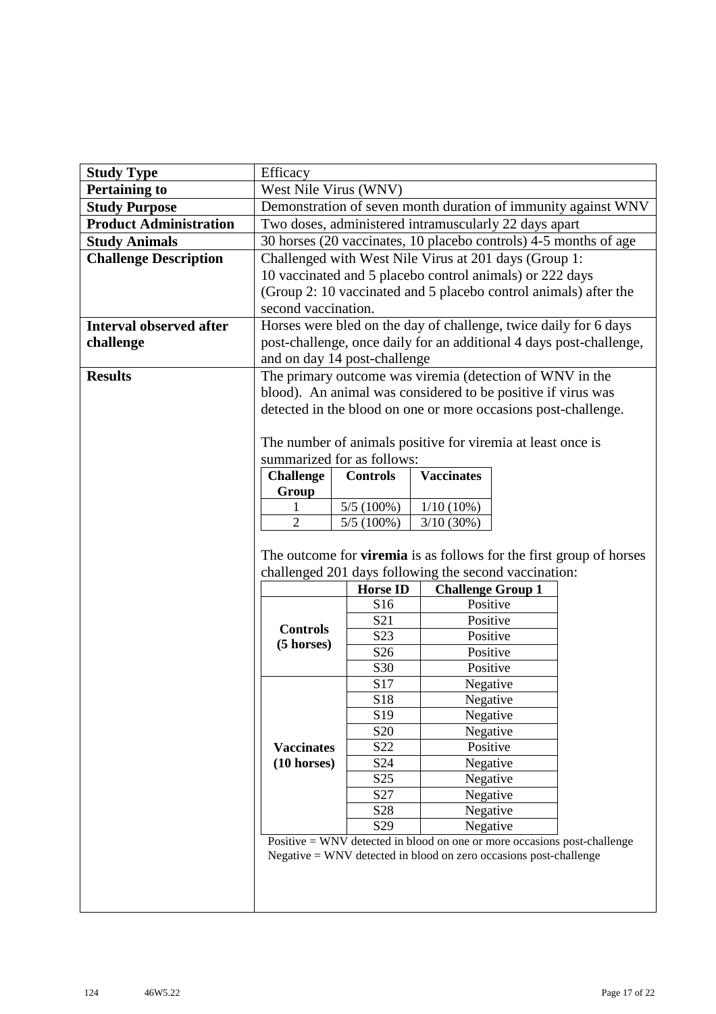| <b>Study Type</b>              | Efficacy                                                       |                                             |                                                                                        |  |                                                                            |  |  |
|--------------------------------|----------------------------------------------------------------|---------------------------------------------|----------------------------------------------------------------------------------------|--|----------------------------------------------------------------------------|--|--|
| <b>Pertaining to</b>           | West Nile Virus (WNV)                                          |                                             |                                                                                        |  |                                                                            |  |  |
| <b>Study Purpose</b>           |                                                                |                                             |                                                                                        |  | Demonstration of seven month duration of immunity against WNV              |  |  |
| <b>Product Administration</b>  |                                                                |                                             | Two doses, administered intramuscularly 22 days apart                                  |  |                                                                            |  |  |
| <b>Study Animals</b>           |                                                                |                                             | 30 horses (20 vaccinates, 10 placebo controls) 4-5 months of age                       |  |                                                                            |  |  |
| <b>Challenge Description</b>   |                                                                |                                             | Challenged with West Nile Virus at 201 days (Group 1:                                  |  |                                                                            |  |  |
|                                |                                                                |                                             | 10 vaccinated and 5 placebo control animals) or 222 days                               |  |                                                                            |  |  |
|                                |                                                                |                                             | (Group 2: 10 vaccinated and 5 placebo control animals) after the                       |  |                                                                            |  |  |
|                                | second vaccination.                                            |                                             |                                                                                        |  |                                                                            |  |  |
| <b>Interval observed after</b> |                                                                |                                             | Horses were bled on the day of challenge, twice daily for 6 days                       |  |                                                                            |  |  |
| challenge                      |                                                                |                                             |                                                                                        |  | post-challenge, once daily for an additional 4 days post-challenge,        |  |  |
|                                |                                                                | and on day 14 post-challenge                |                                                                                        |  |                                                                            |  |  |
| <b>Results</b>                 |                                                                |                                             | The primary outcome was viremia (detection of WNV in the                               |  |                                                                            |  |  |
|                                |                                                                |                                             | blood). An animal was considered to be positive if virus was                           |  |                                                                            |  |  |
|                                | detected in the blood on one or more occasions post-challenge. |                                             |                                                                                        |  |                                                                            |  |  |
|                                |                                                                |                                             |                                                                                        |  |                                                                            |  |  |
|                                | The number of animals positive for viremia at least once is    |                                             |                                                                                        |  |                                                                            |  |  |
|                                |                                                                | summarized for as follows:                  |                                                                                        |  |                                                                            |  |  |
|                                | <b>Challenge</b>                                               | <b>Controls</b>                             | <b>Vaccinates</b>                                                                      |  |                                                                            |  |  |
|                                | Group                                                          |                                             |                                                                                        |  |                                                                            |  |  |
|                                | 1                                                              | 5/5(100%)<br>$1/10(10\%)$                   |                                                                                        |  |                                                                            |  |  |
|                                |                                                                | $\overline{2}$<br>$5/5(100\%)$<br>3/10(30%) |                                                                                        |  |                                                                            |  |  |
|                                |                                                                |                                             |                                                                                        |  |                                                                            |  |  |
|                                |                                                                |                                             |                                                                                        |  |                                                                            |  |  |
|                                |                                                                |                                             |                                                                                        |  | The outcome for <b>viremia</b> is as follows for the first group of horses |  |  |
|                                |                                                                |                                             | challenged 201 days following the second vaccination:                                  |  |                                                                            |  |  |
|                                |                                                                | <b>Horse ID</b>                             | <b>Challenge Group 1</b>                                                               |  |                                                                            |  |  |
|                                |                                                                | S16                                         | Positive                                                                               |  |                                                                            |  |  |
|                                |                                                                | S <sub>21</sub>                             | Positive                                                                               |  |                                                                            |  |  |
|                                | <b>Controls</b>                                                | S23                                         | Positive                                                                               |  |                                                                            |  |  |
|                                | (5 horses)                                                     | S <sub>26</sub>                             | Positive                                                                               |  |                                                                            |  |  |
|                                |                                                                | S30                                         | Positive                                                                               |  |                                                                            |  |  |
|                                |                                                                | S17                                         | Negative                                                                               |  |                                                                            |  |  |
|                                |                                                                | S18                                         | Negative                                                                               |  |                                                                            |  |  |
|                                |                                                                | S <sub>19</sub>                             | Negative                                                                               |  |                                                                            |  |  |
|                                |                                                                | S <sub>20</sub>                             | Negative                                                                               |  |                                                                            |  |  |
|                                | <b>Vaccinates</b>                                              | S22                                         | Positive                                                                               |  |                                                                            |  |  |
|                                | $(10 \text{ horses})$                                          | S24                                         | Negative                                                                               |  |                                                                            |  |  |
|                                |                                                                | S <sub>25</sub>                             | Negative                                                                               |  |                                                                            |  |  |
|                                |                                                                | S <sub>27</sub>                             | Negative                                                                               |  |                                                                            |  |  |
|                                |                                                                | S <sub>28</sub><br>S <sub>29</sub>          | Negative                                                                               |  |                                                                            |  |  |
|                                |                                                                |                                             | Negative<br>Positive $=$ WNV detected in blood on one or more occasions post-challenge |  |                                                                            |  |  |
|                                |                                                                |                                             | $Negative = WNV$ detected in blood on zero occasions post-challenge                    |  |                                                                            |  |  |
|                                |                                                                |                                             |                                                                                        |  |                                                                            |  |  |
|                                |                                                                |                                             |                                                                                        |  |                                                                            |  |  |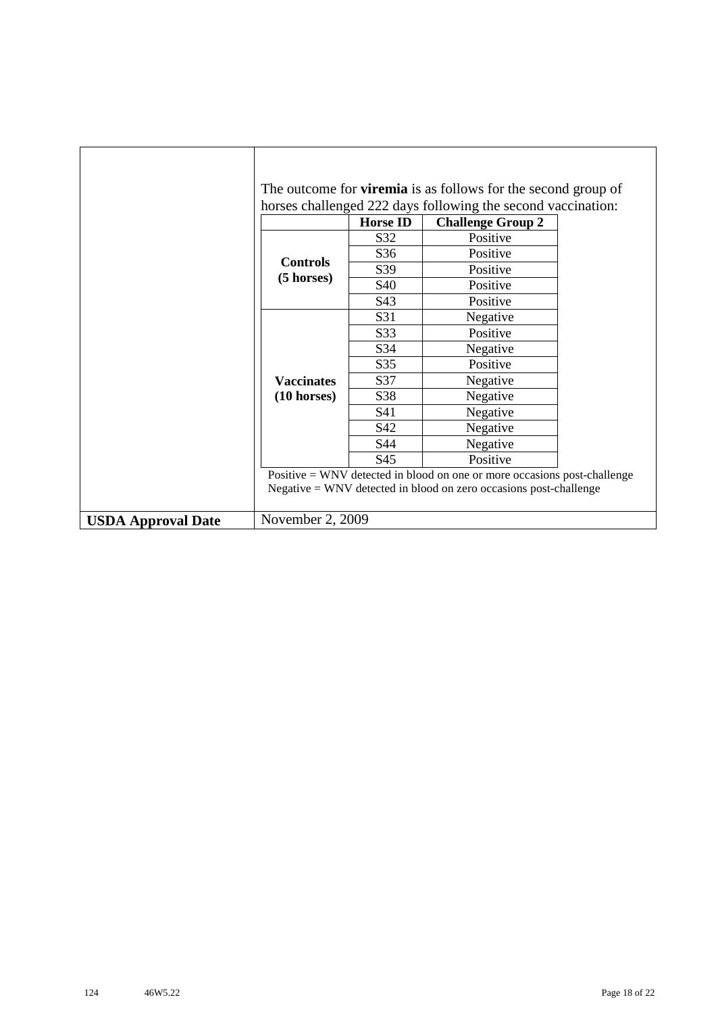|                           |                       |                 | The outcome for <b>viremia</b> is as follows for the second group of     |  |
|---------------------------|-----------------------|-----------------|--------------------------------------------------------------------------|--|
|                           |                       |                 | horses challenged 222 days following the second vaccination:             |  |
|                           |                       | <b>Horse ID</b> | <b>Challenge Group 2</b>                                                 |  |
|                           |                       | S32             | Positive                                                                 |  |
|                           | <b>Controls</b>       | S36             | Positive                                                                 |  |
|                           |                       | S39             | Positive                                                                 |  |
|                           | $(5 \text{ horses})$  | S40             | Positive                                                                 |  |
|                           |                       | S43             | Positive                                                                 |  |
|                           |                       | S31             | Negative                                                                 |  |
|                           |                       | S33             | Positive                                                                 |  |
|                           |                       | S34             | Negative                                                                 |  |
|                           |                       | S35             | Positive                                                                 |  |
|                           | <b>Vaccinates</b>     | S37             | Negative                                                                 |  |
|                           | $(10 \text{ horses})$ | S38             | Negative                                                                 |  |
|                           |                       | S41             | Negative                                                                 |  |
|                           |                       | S42             | Negative                                                                 |  |
|                           |                       | S44             | Negative                                                                 |  |
|                           |                       | S45             | Positive                                                                 |  |
|                           |                       |                 | Positive = WNV detected in blood on one or more occasions post-challenge |  |
|                           |                       |                 | $Negative = WNV$ detected in blood on zero occasions post-challenge      |  |
| <b>USDA Approval Date</b> | November 2, 2009      |                 |                                                                          |  |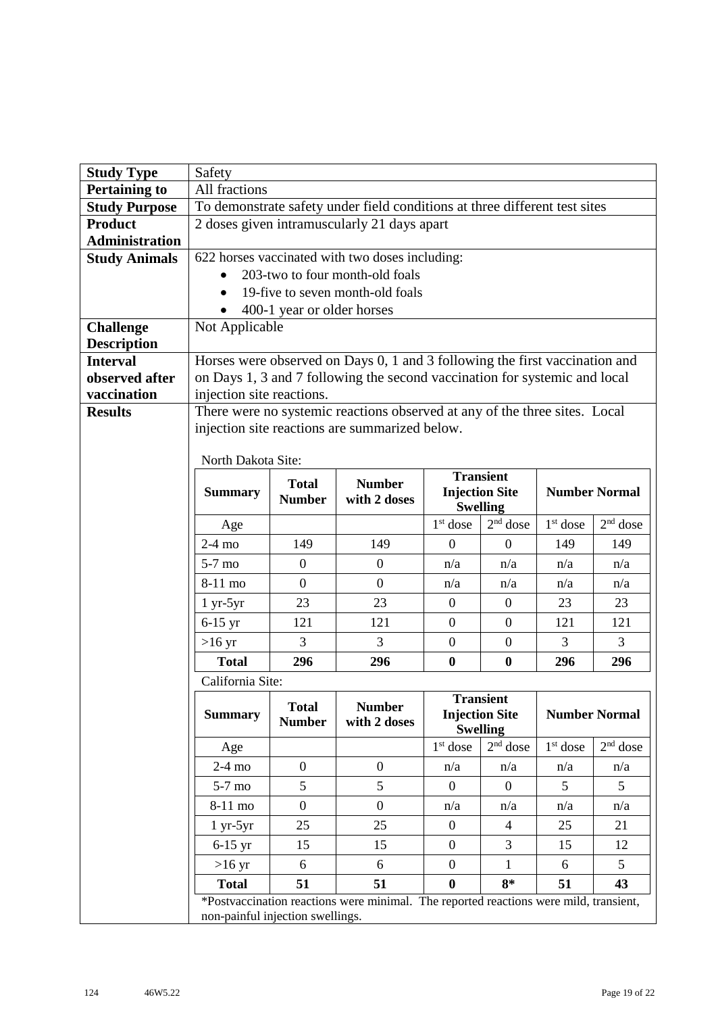| <b>Study Type</b>                      | Safety                                                                                                              |                                                                             |                                                                                       |                                          |                  |            |                      |  |
|----------------------------------------|---------------------------------------------------------------------------------------------------------------------|-----------------------------------------------------------------------------|---------------------------------------------------------------------------------------|------------------------------------------|------------------|------------|----------------------|--|
| <b>Pertaining to</b>                   | All fractions                                                                                                       |                                                                             |                                                                                       |                                          |                  |            |                      |  |
| <b>Study Purpose</b>                   |                                                                                                                     |                                                                             | To demonstrate safety under field conditions at three different test sites            |                                          |                  |            |                      |  |
| <b>Product</b>                         |                                                                                                                     |                                                                             | 2 doses given intramuscularly 21 days apart                                           |                                          |                  |            |                      |  |
| <b>Administration</b>                  |                                                                                                                     |                                                                             |                                                                                       |                                          |                  |            |                      |  |
| <b>Study Animals</b>                   | 622 horses vaccinated with two doses including:                                                                     |                                                                             |                                                                                       |                                          |                  |            |                      |  |
|                                        | 203-two to four month-old foals<br>19-five to seven month-old foals                                                 |                                                                             |                                                                                       |                                          |                  |            |                      |  |
|                                        |                                                                                                                     |                                                                             |                                                                                       |                                          |                  |            |                      |  |
|                                        |                                                                                                                     | 400-1 year or older horses                                                  |                                                                                       |                                          |                  |            |                      |  |
| <b>Challenge</b><br><b>Description</b> | Not Applicable                                                                                                      |                                                                             |                                                                                       |                                          |                  |            |                      |  |
| <b>Interval</b>                        |                                                                                                                     | Horses were observed on Days 0, 1 and 3 following the first vaccination and |                                                                                       |                                          |                  |            |                      |  |
| observed after                         |                                                                                                                     |                                                                             | on Days 1, 3 and 7 following the second vaccination for systemic and local            |                                          |                  |            |                      |  |
| vaccination                            | injection site reactions.                                                                                           |                                                                             |                                                                                       |                                          |                  |            |                      |  |
| <b>Results</b>                         |                                                                                                                     |                                                                             | There were no systemic reactions observed at any of the three sites. Local            |                                          |                  |            |                      |  |
|                                        |                                                                                                                     |                                                                             | injection site reactions are summarized below.                                        |                                          |                  |            |                      |  |
|                                        |                                                                                                                     |                                                                             |                                                                                       |                                          |                  |            |                      |  |
|                                        | North Dakota Site:                                                                                                  |                                                                             |                                                                                       |                                          | <b>Transient</b> |            |                      |  |
|                                        | <b>Summary</b>                                                                                                      | <b>Total</b>                                                                | <b>Number</b>                                                                         |                                          |                  |            | <b>Number Normal</b> |  |
|                                        |                                                                                                                     | <b>Number</b>                                                               | with 2 doses                                                                          | <b>Injection Site</b><br><b>Swelling</b> |                  |            |                      |  |
|                                        | Age                                                                                                                 |                                                                             |                                                                                       | $1st$ dose                               | $2nd$ dose       | $1st$ dose | $2nd$ dose           |  |
|                                        | $2-4$ mo                                                                                                            | 149                                                                         | 149                                                                                   | $\theta$                                 | $\mathbf{0}$     | 149        | 149                  |  |
|                                        | $5-7$ mo                                                                                                            | $\boldsymbol{0}$                                                            | $\overline{0}$                                                                        | n/a                                      | n/a              | n/a        | n/a                  |  |
|                                        | 8-11 mo                                                                                                             | $\overline{0}$                                                              | $\overline{0}$                                                                        | n/a                                      | n/a              | n/a        | n/a                  |  |
|                                        | $1 yr-5yr$                                                                                                          | 23                                                                          | 23                                                                                    | $\overline{0}$                           | $\mathbf{0}$     | 23         | 23                   |  |
|                                        | $6-15$ yr                                                                                                           | 121                                                                         | 121                                                                                   | $\overline{0}$                           | $\mathbf{0}$     | 121        | 121                  |  |
|                                        | $>16 \text{ yr}$                                                                                                    | 3                                                                           | 3                                                                                     | $\boldsymbol{0}$                         | $\mathbf{0}$     | 3          | 3                    |  |
|                                        | $\bf{0}$<br>296<br>296<br>$\boldsymbol{0}$<br><b>Total</b><br>296<br>296                                            |                                                                             |                                                                                       |                                          |                  |            |                      |  |
|                                        | California Site:                                                                                                    |                                                                             |                                                                                       |                                          |                  |            |                      |  |
|                                        | <b>Transient</b><br><b>Total</b><br><b>Number</b>                                                                   |                                                                             |                                                                                       |                                          |                  |            |                      |  |
|                                        | <b>Number Normal</b><br><b>Injection Site</b><br><b>Summary</b><br>with 2 doses<br><b>Number</b><br><b>Swelling</b> |                                                                             |                                                                                       |                                          |                  |            |                      |  |
|                                        | Age                                                                                                                 |                                                                             |                                                                                       | $1st$ dose                               | $2nd$ dose       | $1st$ dose | $2nd$ dose           |  |
|                                        | $2-4$ mo                                                                                                            | $\overline{0}$                                                              | $\boldsymbol{0}$                                                                      | n/a                                      | n/a              | n/a        | n/a                  |  |
|                                        | $5-7$ mo                                                                                                            | 5                                                                           | 5                                                                                     | $\Omega$                                 | $\theta$         | 5          | 5                    |  |
|                                        | $8-11$ mo                                                                                                           | $\overline{0}$                                                              | $\boldsymbol{0}$                                                                      | n/a                                      | n/a              | n/a        | n/a                  |  |
|                                        | $1 yr-5yr$                                                                                                          | 25                                                                          | 25                                                                                    | $\boldsymbol{0}$                         | $\overline{4}$   | 25         | 21                   |  |
|                                        | $6-15$ yr                                                                                                           | 15                                                                          | 15                                                                                    | $\boldsymbol{0}$                         | 3                | 15         | 12                   |  |
|                                        | $>16$ yr                                                                                                            | 6                                                                           | 6                                                                                     | $\overline{0}$                           | 1                | 6          | 5                    |  |
|                                        | <b>Total</b>                                                                                                        | 51                                                                          | 51                                                                                    | $\bf{0}$                                 | $8*$             | 51         | 43                   |  |
|                                        |                                                                                                                     |                                                                             | *Postvaccination reactions were minimal. The reported reactions were mild, transient, |                                          |                  |            |                      |  |
|                                        | non-painful injection swellings.                                                                                    |                                                                             |                                                                                       |                                          |                  |            |                      |  |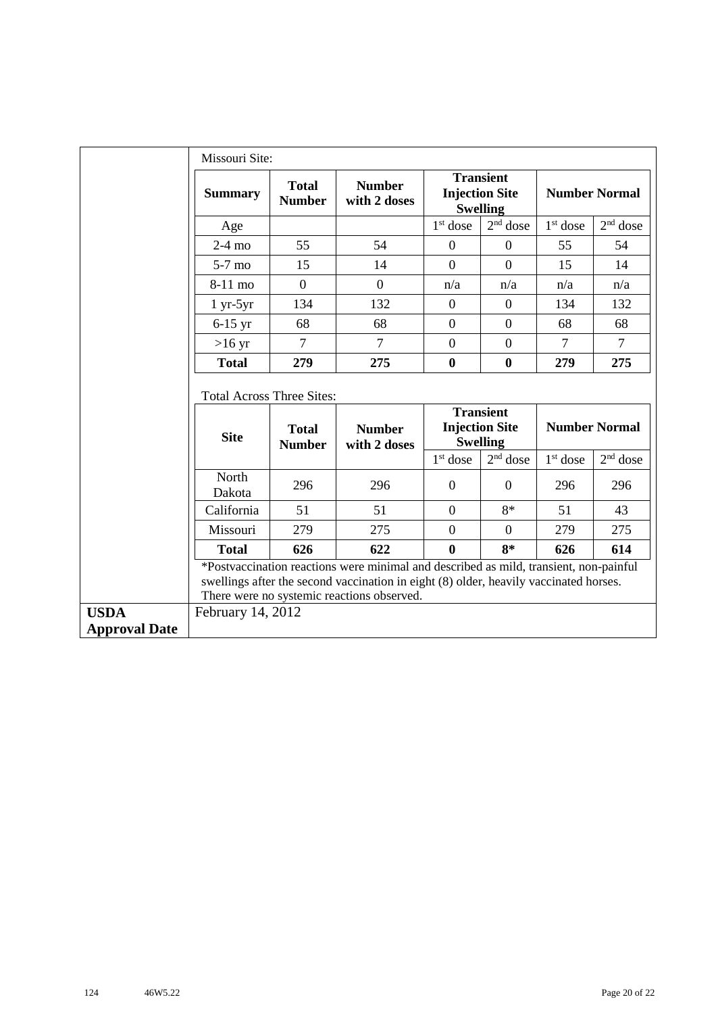|                                     | Missouri Site:                   |                               |                                                                                                                                                                                                                              |                  |                                                              |                |                      |
|-------------------------------------|----------------------------------|-------------------------------|------------------------------------------------------------------------------------------------------------------------------------------------------------------------------------------------------------------------------|------------------|--------------------------------------------------------------|----------------|----------------------|
|                                     | <b>Summary</b>                   | <b>Total</b><br><b>Number</b> | <b>Number</b><br>with 2 doses                                                                                                                                                                                                |                  | <b>Transient</b><br><b>Injection Site</b><br><b>Swelling</b> |                | <b>Number Normal</b> |
|                                     | Age                              |                               |                                                                                                                                                                                                                              | $1st$ dose       | $2nd$ dose                                                   | $1st$ dose     | $2nd$ dose           |
|                                     | $2-4$ mo                         | 55                            | 54                                                                                                                                                                                                                           | $\mathbf{0}$     | $\overline{0}$                                               | 55             | 54                   |
|                                     | $5-7$ mo                         | 15                            | 14                                                                                                                                                                                                                           | $\overline{0}$   | $\Omega$                                                     | 15             | 14                   |
|                                     | 8-11 mo                          | $\overline{0}$                | $\overline{0}$                                                                                                                                                                                                               | n/a              | n/a                                                          | n/a            | n/a                  |
|                                     | $1 yr-5yr$                       | 134                           | 132                                                                                                                                                                                                                          | $\boldsymbol{0}$ | $\mathbf{0}$                                                 | 134            | 132                  |
|                                     | $6-15$ yr                        | 68                            | 68                                                                                                                                                                                                                           | $\mathbf{0}$     | $\boldsymbol{0}$                                             | 68             | 68                   |
|                                     | $>16$ yr                         | $\overline{7}$                | $\overline{7}$                                                                                                                                                                                                               | $\overline{0}$   | $\boldsymbol{0}$                                             | $\overline{7}$ | $\tau$               |
|                                     | <b>Total</b>                     | 279                           | 275                                                                                                                                                                                                                          | $\bf{0}$         | $\bf{0}$                                                     | 279            | 275                  |
|                                     | <b>Total Across Three Sites:</b> |                               |                                                                                                                                                                                                                              |                  |                                                              |                |                      |
|                                     | <b>Site</b>                      | <b>Total</b><br><b>Number</b> | <b>Number</b><br>with 2 doses                                                                                                                                                                                                |                  | <b>Transient</b><br><b>Injection Site</b><br><b>Swelling</b> |                | <b>Number Normal</b> |
|                                     |                                  |                               |                                                                                                                                                                                                                              | $1st$ dose       | $2nd$ dose                                                   | $1st$ dose     | $2nd$ dose           |
|                                     | North<br>Dakota                  | 296                           | 296                                                                                                                                                                                                                          | $\mathbf{0}$     | $\theta$                                                     | 296            | 296                  |
|                                     | California                       | 51                            | 51                                                                                                                                                                                                                           | $\theta$         | $8*$                                                         | 51             | 43                   |
|                                     | Missouri                         | 279                           | 275                                                                                                                                                                                                                          | $\overline{0}$   | $\Omega$                                                     | 279            | 275                  |
|                                     | <b>Total</b>                     | 626                           | 622                                                                                                                                                                                                                          | $\bf{0}$         | $8*$                                                         | 626            | 614                  |
|                                     |                                  |                               | *Postvaccination reactions were minimal and described as mild, transient, non-painful<br>swellings after the second vaccination in eight (8) older, heavily vaccinated horses.<br>There were no systemic reactions observed. |                  |                                                              |                |                      |
| <b>USDA</b><br><b>Approval Date</b> | February 14, 2012                |                               |                                                                                                                                                                                                                              |                  |                                                              |                |                      |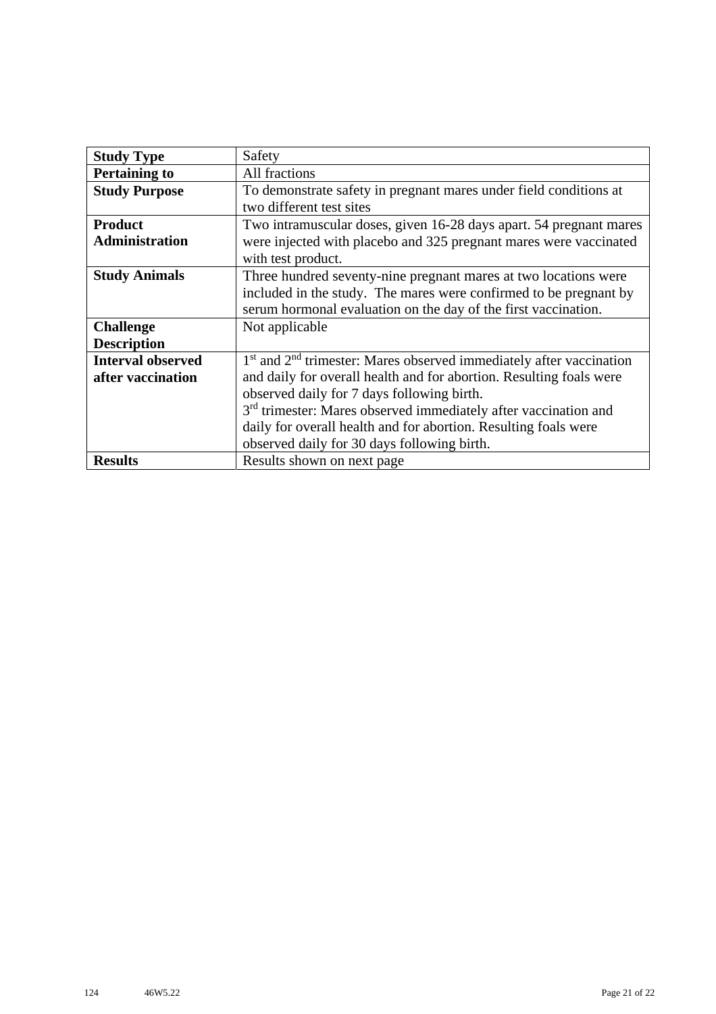| <b>Study Type</b>        | Safety                                                                      |
|--------------------------|-----------------------------------------------------------------------------|
| <b>Pertaining to</b>     | All fractions                                                               |
| <b>Study Purpose</b>     | To demonstrate safety in pregnant mares under field conditions at           |
|                          | two different test sites                                                    |
| <b>Product</b>           | Two intramuscular doses, given 16-28 days apart. 54 pregnant mares          |
| <b>Administration</b>    | were injected with placebo and 325 pregnant mares were vaccinated           |
|                          | with test product.                                                          |
| <b>Study Animals</b>     | Three hundred seventy-nine pregnant mares at two locations were             |
|                          | included in the study. The mares were confirmed to be pregnant by           |
|                          | serum hormonal evaluation on the day of the first vaccination.              |
| <b>Challenge</b>         | Not applicable                                                              |
| <b>Description</b>       |                                                                             |
| <b>Interval observed</b> | $1st$ and $2nd$ trimester: Mares observed immediately after vaccination     |
| after vaccination        | and daily for overall health and for abortion. Resulting foals were         |
|                          | observed daily for 7 days following birth.                                  |
|                          | 3 <sup>rd</sup> trimester: Mares observed immediately after vaccination and |
|                          | daily for overall health and for abortion. Resulting foals were             |
|                          | observed daily for 30 days following birth.                                 |
| <b>Results</b>           | Results shown on next page                                                  |